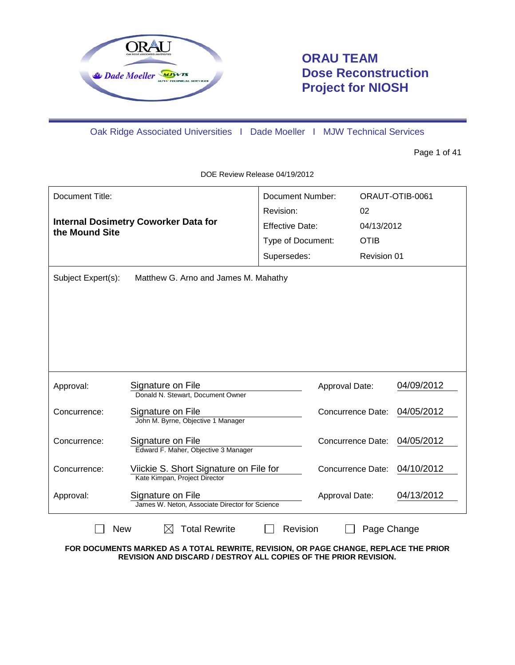

# **ORAU TEAM Dose Reconstruction Project for NIOSH**

Oak Ridge Associated Universities I Dade Moeller I MJW Technical Services

Page 1 of 41

DOE Review Release 04/19/2012

| Document Title:<br><b>Internal Dosimetry Coworker Data for</b> |                                                                         | <b>Document Number:</b><br>Revision: | 02                       | ORAUT-OTIB-0061 |
|----------------------------------------------------------------|-------------------------------------------------------------------------|--------------------------------------|--------------------------|-----------------|
| the Mound Site                                                 |                                                                         | <b>Effective Date:</b>               | 04/13/2012               |                 |
|                                                                |                                                                         | Type of Document:                    | <b>OTIB</b>              |                 |
|                                                                |                                                                         | Supersedes:                          | Revision 01              |                 |
| Subject Expert(s):<br>Matthew G. Arno and James M. Mahathy     |                                                                         |                                      |                          |                 |
| Approval:                                                      | Signature on File<br>Donald N. Stewart, Document Owner                  | Approval Date:                       |                          | 04/09/2012      |
| Concurrence:                                                   | Signature on File<br>John M. Byrne, Objective 1 Manager                 |                                      | <b>Concurrence Date:</b> | 04/05/2012      |
| Concurrence:                                                   | Signature on File<br>Edward F. Maher, Objective 3 Manager               |                                      | <b>Concurrence Date:</b> | 04/05/2012      |
| Concurrence:                                                   | Viickie S. Short Signature on File for<br>Kate Kimpan, Project Director |                                      | <b>Concurrence Date:</b> | 04/10/2012      |
| Approval:                                                      | Signature on File<br>James W. Neton, Associate Director for Science     | Approval Date:                       |                          | 04/13/2012      |
| <b>Total Rewrite</b><br>Revision<br><b>New</b><br>Page Change  |                                                                         |                                      |                          |                 |

**FOR DOCUMENTS MARKED AS A TOTAL REWRITE, REVISION, OR PAGE CHANGE, REPLACE THE PRIOR REVISION AND DISCARD / DESTROY ALL COPIES OF THE PRIOR REVISION.**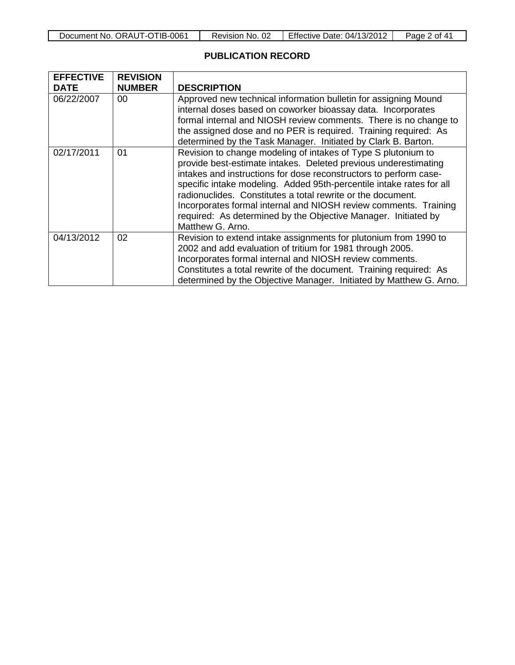#### **PUBLICATION RECORD**

| <b>EFFECTIVE</b> | <b>REVISION</b> |                                                                                                                                                                                                                                                                                                                                                                                                                                                                                                        |
|------------------|-----------------|--------------------------------------------------------------------------------------------------------------------------------------------------------------------------------------------------------------------------------------------------------------------------------------------------------------------------------------------------------------------------------------------------------------------------------------------------------------------------------------------------------|
| <b>DATE</b>      | <b>NUMBER</b>   | <b>DESCRIPTION</b>                                                                                                                                                                                                                                                                                                                                                                                                                                                                                     |
| 06/22/2007       | 00              | Approved new technical information bulletin for assigning Mound<br>internal doses based on coworker bioassay data. Incorporates<br>formal internal and NIOSH review comments. There is no change to<br>the assigned dose and no PER is required. Training required: As<br>determined by the Task Manager. Initiated by Clark B. Barton.                                                                                                                                                                |
| 02/17/2011       | 01              | Revision to change modeling of intakes of Type S plutonium to<br>provide best-estimate intakes. Deleted previous underestimating<br>intakes and instructions for dose reconstructors to perform case-<br>specific intake modeling. Added 95th-percentile intake rates for all<br>radionuclides. Constitutes a total rewrite or the document.<br>Incorporates formal internal and NIOSH review comments. Training<br>required: As determined by the Objective Manager. Initiated by<br>Matthew G. Arno. |
| 04/13/2012       | 02              | Revision to extend intake assignments for plutonium from 1990 to<br>2002 and add evaluation of tritium for 1981 through 2005.<br>Incorporates formal internal and NIOSH review comments.<br>Constitutes a total rewrite of the document. Training required: As<br>determined by the Objective Manager. Initiated by Matthew G. Arno.                                                                                                                                                                   |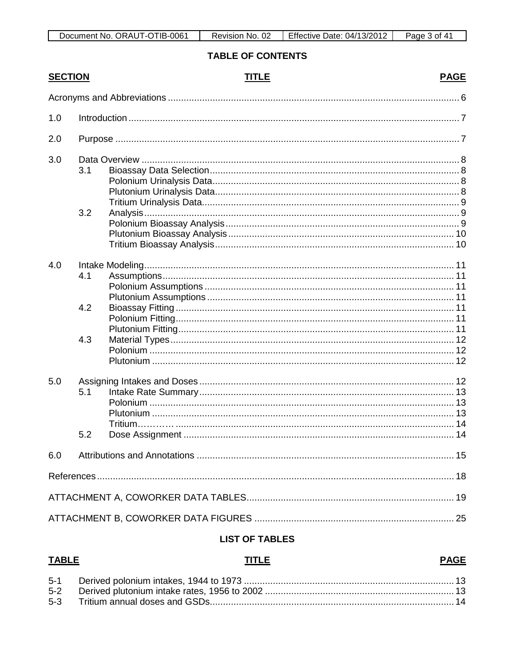| ORAUT-OTIB-0061<br>Document No. | 02<br>No.<br>Revision, | Effective Date:<br>$\cdot$ . 04/13/2011 | $\Lambda$<br>nt.<br>Page |
|---------------------------------|------------------------|-----------------------------------------|--------------------------|

# **TABLE OF CONTENTS**

| <b>SECTION</b> |     | <b>TITLE</b> | <b>PAGE</b> |
|----------------|-----|--------------|-------------|
|                |     |              |             |
| 1.0            |     |              |             |
| 2.0            |     |              |             |
| 3.0            |     |              |             |
|                | 3.1 |              |             |
|                |     |              |             |
|                |     |              |             |
|                |     |              |             |
|                | 3.2 |              |             |
|                |     |              |             |
|                |     |              |             |
|                |     |              |             |
| 4.0            |     |              |             |
|                | 4.1 |              |             |
|                |     |              |             |
|                |     |              |             |
|                | 4.2 |              |             |
|                |     |              |             |
|                |     |              |             |
|                | 4.3 |              |             |
|                |     |              |             |
|                |     |              |             |
| 5.0            |     |              |             |
|                | 5.1 |              |             |
|                |     |              |             |
|                |     |              |             |
|                |     |              |             |
|                | 5.2 |              |             |
| 6.0            |     |              |             |
|                |     |              |             |
|                |     |              |             |
|                |     |              |             |
|                |     |              |             |

#### **LIST OF TABLES**

| <b>TABLE</b> | <b>TITLE</b> | <b>PAGE</b> |
|--------------|--------------|-------------|
|              |              |             |
|              |              |             |
|              |              |             |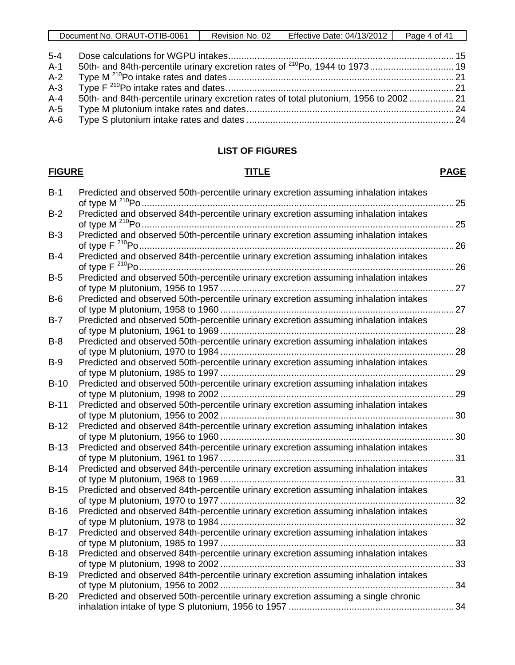| Document No. ORAUT-OTIB-0061 | Revision No. 02 | <b>Effective Date: 04/13/2012</b> | Page 4 of 41 |
|------------------------------|-----------------|-----------------------------------|--------------|
|                              |                 |                                   |              |

| 5-4     |                                                                                       |  |
|---------|---------------------------------------------------------------------------------------|--|
| $A-1$   |                                                                                       |  |
| $A-2$   |                                                                                       |  |
|         |                                                                                       |  |
| $A - 4$ | 50th- and 84th-percentile urinary excretion rates of total plutonium, 1956 to 2002 21 |  |
| $A-5$   |                                                                                       |  |
| $A-6$   |                                                                                       |  |
|         |                                                                                       |  |

# **LIST OF FIGURES**

## **FIGURE TITLE PAGE**

| $B-2$<br>Predicted and observed 50th-percentile urinary excretion assuming inhalation intakes<br>$B-3$<br>Predicted and observed 84th-percentile urinary excretion assuming inhalation intakes<br>$B-4$<br>Predicted and observed 50th-percentile urinary excretion assuming inhalation intakes<br>$B-5$<br>Predicted and observed 50th-percentile urinary excretion assuming inhalation intakes<br>$B-6$<br>Predicted and observed 50th-percentile urinary excretion assuming inhalation intakes<br>$B-7$<br>Predicted and observed 50th-percentile urinary excretion assuming inhalation intakes<br>$B-8$<br>Predicted and observed 50th-percentile urinary excretion assuming inhalation intakes<br>$B-9$<br>Predicted and observed 50th-percentile urinary excretion assuming inhalation intakes<br>$B-10$<br>Predicted and observed 50th-percentile urinary excretion assuming inhalation intakes<br>$B-11$<br>Predicted and observed 84th-percentile urinary excretion assuming inhalation intakes<br>$B-12$<br>Predicted and observed 84th-percentile urinary excretion assuming inhalation intakes<br>$B-13$<br>Predicted and observed 84th-percentile urinary excretion assuming inhalation intakes<br>$B-14$<br>Predicted and observed 84th-percentile urinary excretion assuming inhalation intakes<br>$B-15$<br>Predicted and observed 84th-percentile urinary excretion assuming inhalation intakes<br>$B-16$<br>Predicted and observed 84th-percentile urinary excretion assuming inhalation intakes<br>$B-17$<br>Predicted and observed 84th-percentile urinary excretion assuming inhalation intakes<br>$B-18$<br>Predicted and observed 84th-percentile urinary excretion assuming inhalation intakes<br>$B-19$<br>Predicted and observed 50th-percentile urinary excretion assuming a single chronic<br>$B-20$ | $B-1$ | Predicted and observed 50th-percentile urinary excretion assuming inhalation intakes | . 25 |
|----------------------------------------------------------------------------------------------------------------------------------------------------------------------------------------------------------------------------------------------------------------------------------------------------------------------------------------------------------------------------------------------------------------------------------------------------------------------------------------------------------------------------------------------------------------------------------------------------------------------------------------------------------------------------------------------------------------------------------------------------------------------------------------------------------------------------------------------------------------------------------------------------------------------------------------------------------------------------------------------------------------------------------------------------------------------------------------------------------------------------------------------------------------------------------------------------------------------------------------------------------------------------------------------------------------------------------------------------------------------------------------------------------------------------------------------------------------------------------------------------------------------------------------------------------------------------------------------------------------------------------------------------------------------------------------------------------------------------------------------------------------------------------------------------------------------------------|-------|--------------------------------------------------------------------------------------|------|
|                                                                                                                                                                                                                                                                                                                                                                                                                                                                                                                                                                                                                                                                                                                                                                                                                                                                                                                                                                                                                                                                                                                                                                                                                                                                                                                                                                                                                                                                                                                                                                                                                                                                                                                                                                                                                                  |       | Predicted and observed 84th-percentile urinary excretion assuming inhalation intakes |      |
|                                                                                                                                                                                                                                                                                                                                                                                                                                                                                                                                                                                                                                                                                                                                                                                                                                                                                                                                                                                                                                                                                                                                                                                                                                                                                                                                                                                                                                                                                                                                                                                                                                                                                                                                                                                                                                  |       |                                                                                      |      |
|                                                                                                                                                                                                                                                                                                                                                                                                                                                                                                                                                                                                                                                                                                                                                                                                                                                                                                                                                                                                                                                                                                                                                                                                                                                                                                                                                                                                                                                                                                                                                                                                                                                                                                                                                                                                                                  |       |                                                                                      |      |
|                                                                                                                                                                                                                                                                                                                                                                                                                                                                                                                                                                                                                                                                                                                                                                                                                                                                                                                                                                                                                                                                                                                                                                                                                                                                                                                                                                                                                                                                                                                                                                                                                                                                                                                                                                                                                                  |       |                                                                                      |      |
|                                                                                                                                                                                                                                                                                                                                                                                                                                                                                                                                                                                                                                                                                                                                                                                                                                                                                                                                                                                                                                                                                                                                                                                                                                                                                                                                                                                                                                                                                                                                                                                                                                                                                                                                                                                                                                  |       |                                                                                      |      |
|                                                                                                                                                                                                                                                                                                                                                                                                                                                                                                                                                                                                                                                                                                                                                                                                                                                                                                                                                                                                                                                                                                                                                                                                                                                                                                                                                                                                                                                                                                                                                                                                                                                                                                                                                                                                                                  |       |                                                                                      |      |
|                                                                                                                                                                                                                                                                                                                                                                                                                                                                                                                                                                                                                                                                                                                                                                                                                                                                                                                                                                                                                                                                                                                                                                                                                                                                                                                                                                                                                                                                                                                                                                                                                                                                                                                                                                                                                                  |       |                                                                                      |      |
|                                                                                                                                                                                                                                                                                                                                                                                                                                                                                                                                                                                                                                                                                                                                                                                                                                                                                                                                                                                                                                                                                                                                                                                                                                                                                                                                                                                                                                                                                                                                                                                                                                                                                                                                                                                                                                  |       |                                                                                      |      |
|                                                                                                                                                                                                                                                                                                                                                                                                                                                                                                                                                                                                                                                                                                                                                                                                                                                                                                                                                                                                                                                                                                                                                                                                                                                                                                                                                                                                                                                                                                                                                                                                                                                                                                                                                                                                                                  |       |                                                                                      |      |
|                                                                                                                                                                                                                                                                                                                                                                                                                                                                                                                                                                                                                                                                                                                                                                                                                                                                                                                                                                                                                                                                                                                                                                                                                                                                                                                                                                                                                                                                                                                                                                                                                                                                                                                                                                                                                                  |       |                                                                                      |      |
|                                                                                                                                                                                                                                                                                                                                                                                                                                                                                                                                                                                                                                                                                                                                                                                                                                                                                                                                                                                                                                                                                                                                                                                                                                                                                                                                                                                                                                                                                                                                                                                                                                                                                                                                                                                                                                  |       |                                                                                      |      |
|                                                                                                                                                                                                                                                                                                                                                                                                                                                                                                                                                                                                                                                                                                                                                                                                                                                                                                                                                                                                                                                                                                                                                                                                                                                                                                                                                                                                                                                                                                                                                                                                                                                                                                                                                                                                                                  |       |                                                                                      |      |
|                                                                                                                                                                                                                                                                                                                                                                                                                                                                                                                                                                                                                                                                                                                                                                                                                                                                                                                                                                                                                                                                                                                                                                                                                                                                                                                                                                                                                                                                                                                                                                                                                                                                                                                                                                                                                                  |       |                                                                                      |      |
|                                                                                                                                                                                                                                                                                                                                                                                                                                                                                                                                                                                                                                                                                                                                                                                                                                                                                                                                                                                                                                                                                                                                                                                                                                                                                                                                                                                                                                                                                                                                                                                                                                                                                                                                                                                                                                  |       |                                                                                      |      |
|                                                                                                                                                                                                                                                                                                                                                                                                                                                                                                                                                                                                                                                                                                                                                                                                                                                                                                                                                                                                                                                                                                                                                                                                                                                                                                                                                                                                                                                                                                                                                                                                                                                                                                                                                                                                                                  |       |                                                                                      |      |
|                                                                                                                                                                                                                                                                                                                                                                                                                                                                                                                                                                                                                                                                                                                                                                                                                                                                                                                                                                                                                                                                                                                                                                                                                                                                                                                                                                                                                                                                                                                                                                                                                                                                                                                                                                                                                                  |       |                                                                                      |      |
|                                                                                                                                                                                                                                                                                                                                                                                                                                                                                                                                                                                                                                                                                                                                                                                                                                                                                                                                                                                                                                                                                                                                                                                                                                                                                                                                                                                                                                                                                                                                                                                                                                                                                                                                                                                                                                  |       |                                                                                      |      |
|                                                                                                                                                                                                                                                                                                                                                                                                                                                                                                                                                                                                                                                                                                                                                                                                                                                                                                                                                                                                                                                                                                                                                                                                                                                                                                                                                                                                                                                                                                                                                                                                                                                                                                                                                                                                                                  |       |                                                                                      |      |
|                                                                                                                                                                                                                                                                                                                                                                                                                                                                                                                                                                                                                                                                                                                                                                                                                                                                                                                                                                                                                                                                                                                                                                                                                                                                                                                                                                                                                                                                                                                                                                                                                                                                                                                                                                                                                                  |       |                                                                                      |      |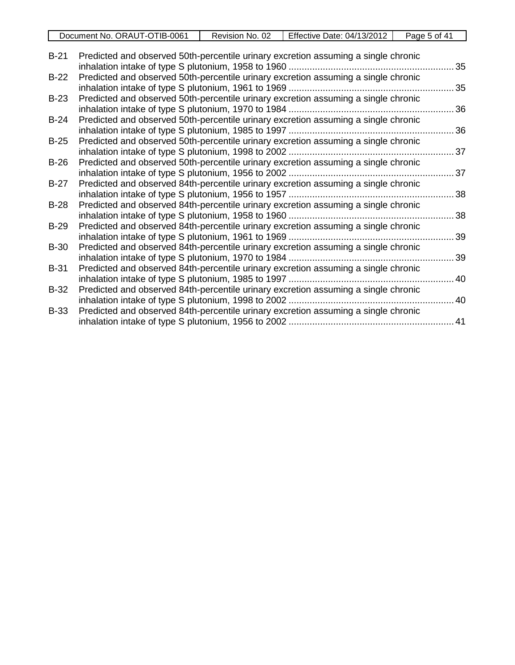|             | Document No. ORAUT-OTIB-0061                                                       | Revision No. 02 | Effective Date: 04/13/2012 | Page 5 of 41 |
|-------------|------------------------------------------------------------------------------------|-----------------|----------------------------|--------------|
|             |                                                                                    |                 |                            |              |
| $B-21$      | Predicted and observed 50th-percentile urinary excretion assuming a single chronic |                 |                            |              |
|             |                                                                                    |                 |                            | 35           |
| $B-22$      | Predicted and observed 50th-percentile urinary excretion assuming a single chronic |                 |                            |              |
|             |                                                                                    |                 |                            | 35           |
| $B-23$      | Predicted and observed 50th-percentile urinary excretion assuming a single chronic |                 |                            |              |
|             | inhalation intake of type S plutonium, 1970 to 1984                                |                 |                            | 36           |
| $B-24$      | Predicted and observed 50th-percentile urinary excretion assuming a single chronic |                 |                            |              |
|             | inhalation intake of type S plutonium, 1985 to 1997                                |                 |                            | 36           |
| $B-25$      | Predicted and observed 50th-percentile urinary excretion assuming a single chronic |                 |                            |              |
|             |                                                                                    |                 |                            | 37           |
| $B-26$      | Predicted and observed 50th-percentile urinary excretion assuming a single chronic |                 |                            |              |
|             | inhalation intake of type S plutonium, 1956 to 2002.                               |                 |                            | 37           |
| $B-27$      | Predicted and observed 84th-percentile urinary excretion assuming a single chronic |                 |                            |              |
|             | inhalation intake of type S plutonium, 1956 to 1957                                |                 |                            | 38           |
| $B-28$      | Predicted and observed 84th-percentile urinary excretion assuming a single chronic |                 |                            |              |
|             | inhalation intake of type S plutonium, 1958 to 1960                                |                 |                            | 38           |
| $B-29$      | Predicted and observed 84th-percentile urinary excretion assuming a single chronic |                 |                            |              |
|             |                                                                                    |                 |                            | 39           |
| <b>B-30</b> | Predicted and observed 84th-percentile urinary excretion assuming a single chronic |                 |                            |              |
|             | inhalation intake of type S plutonium, 1970 to 1984                                |                 |                            | 39           |
| $B-31$      | Predicted and observed 84th-percentile urinary excretion assuming a single chronic |                 |                            |              |
|             |                                                                                    |                 |                            | 40           |
| <b>B-32</b> | Predicted and observed 84th-percentile urinary excretion assuming a single chronic |                 |                            |              |
|             | inhalation intake of type S plutonium, 1998 to 2002                                |                 |                            | .40          |
| $B-33$      | Predicted and observed 84th-percentile urinary excretion assuming a single chronic |                 |                            |              |

inhalation intake of type S plutonium, 1956 to 2002 ............................................................... 41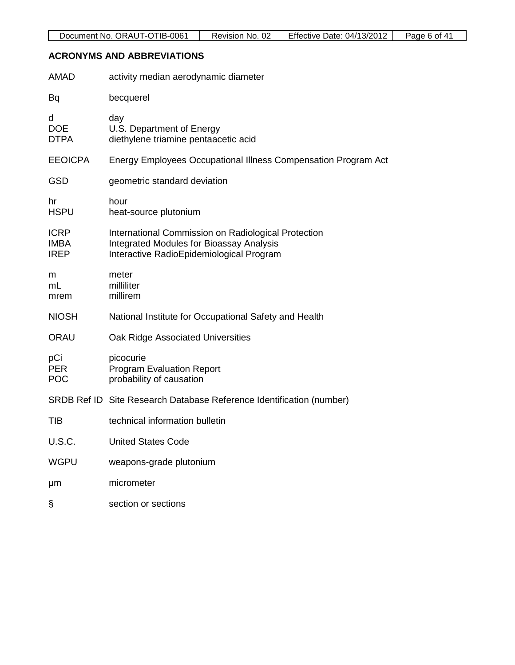# **ACRONYMS AND ABBREVIATIONS**

| <b>AMAD</b>                               | activity median aerodynamic diameter                                                                                                               |
|-------------------------------------------|----------------------------------------------------------------------------------------------------------------------------------------------------|
| Bq                                        | becquerel                                                                                                                                          |
| d<br><b>DOE</b><br><b>DTPA</b>            | day<br>U.S. Department of Energy<br>diethylene triamine pentaacetic acid                                                                           |
| <b>EEOICPA</b>                            | Energy Employees Occupational Illness Compensation Program Act                                                                                     |
| <b>GSD</b>                                | geometric standard deviation                                                                                                                       |
| hr<br><b>HSPU</b>                         | hour<br>heat-source plutonium                                                                                                                      |
| <b>ICRP</b><br><b>IMBA</b><br><b>IREP</b> | International Commission on Radiological Protection<br><b>Integrated Modules for Bioassay Analysis</b><br>Interactive RadioEpidemiological Program |
| m<br>mL<br>mrem                           | meter<br>milliliter<br>millirem                                                                                                                    |
| <b>NIOSH</b>                              | National Institute for Occupational Safety and Health                                                                                              |
| ORAU                                      | Oak Ridge Associated Universities                                                                                                                  |
| pCi<br><b>PER</b><br><b>POC</b>           | picocurie<br><b>Program Evaluation Report</b><br>probability of causation                                                                          |
|                                           | SRDB Ref ID Site Research Database Reference Identification (number)                                                                               |
| <b>TIB</b>                                | technical information bulletin                                                                                                                     |
| <b>U.S.C.</b>                             | <b>United States Code</b>                                                                                                                          |
| <b>WGPU</b>                               | weapons-grade plutonium                                                                                                                            |
| μm                                        | micrometer                                                                                                                                         |
| §                                         | section or sections                                                                                                                                |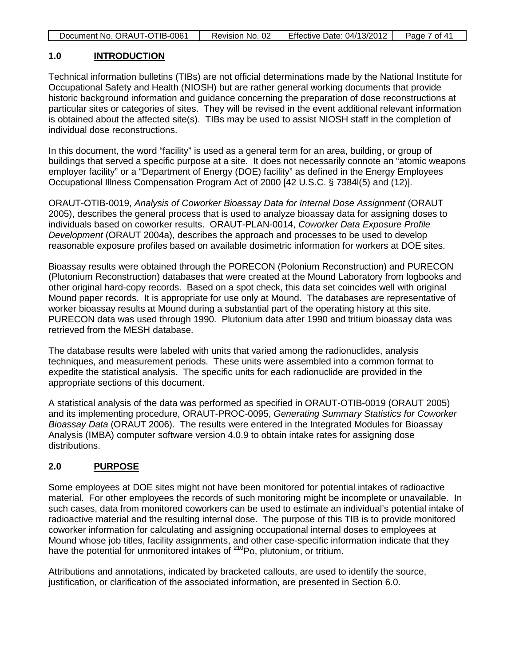|  | Document No. ORAUT-OTIB-0061 | Revision No. 02 | <b>Effective Date: 04/13/2012</b> | Page 7 of 41 |
|--|------------------------------|-----------------|-----------------------------------|--------------|
|--|------------------------------|-----------------|-----------------------------------|--------------|

#### **1.0 INTRODUCTION**

Technical information bulletins (TIBs) are not official determinations made by the National Institute for Occupational Safety and Health (NIOSH) but are rather general working documents that provide historic background information and guidance concerning the preparation of dose reconstructions at particular sites or categories of sites. They will be revised in the event additional relevant information is obtained about the affected site(s). TIBs may be used to assist NIOSH staff in the completion of individual dose reconstructions.

In this document, the word "facility" is used as a general term for an area, building, or group of buildings that served a specific purpose at a site. It does not necessarily connote an "atomic weapons employer facility" or a "Department of Energy (DOE) facility" as defined in the Energy Employees Occupational Illness Compensation Program Act of 2000 [42 U.S.C. § 7384l(5) and (12)].

ORAUT-OTIB-0019, *Analysis of Coworker Bioassay Data for Internal Dose Assignment* (ORAUT 2005), describes the general process that is used to analyze bioassay data for assigning doses to individuals based on coworker results. ORAUT-PLAN-0014, *Coworker Data Exposure Profile Development* (ORAUT 2004a), describes the approach and processes to be used to develop reasonable exposure profiles based on available dosimetric information for workers at DOE sites.

Bioassay results were obtained through the PORECON (Polonium Reconstruction) and PURECON (Plutonium Reconstruction) databases that were created at the Mound Laboratory from logbooks and other original hard-copy records. Based on a spot check, this data set coincides well with original Mound paper records. It is appropriate for use only at Mound. The databases are representative of worker bioassay results at Mound during a substantial part of the operating history at this site. PURECON data was used through 1990. Plutonium data after 1990 and tritium bioassay data was retrieved from the MESH database.

The database results were labeled with units that varied among the radionuclides, analysis techniques, and measurement periods. These units were assembled into a common format to expedite the statistical analysis. The specific units for each radionuclide are provided in the appropriate sections of this document.

A statistical analysis of the data was performed as specified in ORAUT-OTIB-0019 (ORAUT 2005) and its implementing procedure, ORAUT-PROC-0095, *Generating Summary Statistics for Coworker Bioassay Data* (ORAUT 2006). The results were entered in the Integrated Modules for Bioassay Analysis (IMBA) computer software version 4.0.9 to obtain intake rates for assigning dose distributions.

#### **2.0 PURPOSE**

Some employees at DOE sites might not have been monitored for potential intakes of radioactive material. For other employees the records of such monitoring might be incomplete or unavailable. In such cases, data from monitored coworkers can be used to estimate an individual's potential intake of radioactive material and the resulting internal dose. The purpose of this TIB is to provide monitored coworker information for calculating and assigning occupational internal doses to employees at Mound whose job titles, facility assignments, and other case-specific information indicate that they have the potential for unmonitored intakes of <sup>210</sup>Po, plutonium, or tritium.

Attributions and annotations, indicated by bracketed callouts, are used to identify the source, justification, or clarification of the associated information, are presented in Section 6.0.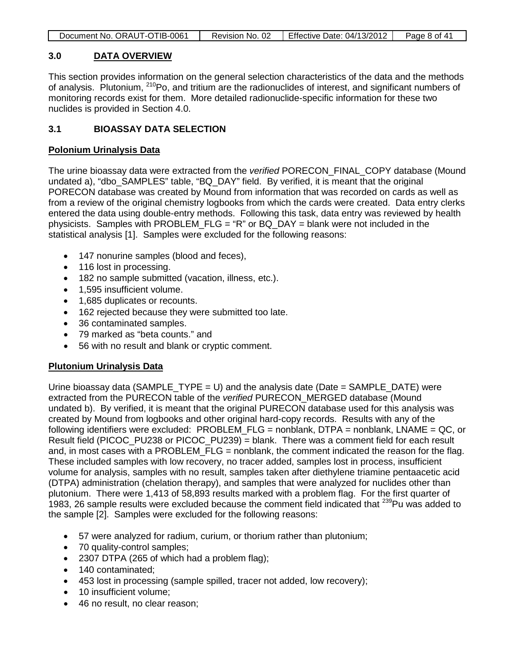|  | Document No. ORAUT-OTIB-0061 | Revision No. 02 | Effective Date: $04/13/2012$ | Page 8 of 41 |
|--|------------------------------|-----------------|------------------------------|--------------|
|--|------------------------------|-----------------|------------------------------|--------------|

#### **3.0 DATA OVERVIEW**

This section provides information on the general selection characteristics of the data and the methods of analysis. Plutonium, <sup>210</sup>Po, and tritium are the radionuclides of interest, and significant numbers of monitoring records exist for them. More detailed radionuclide-specific information for these two nuclides is provided in Section 4.0.

#### **3.1 BIOASSAY DATA SELECTION**

#### **Polonium Urinalysis Data**

The urine bioassay data were extracted from the *verified* PORECON\_FINAL\_COPY database (Mound undated a), "dbo SAMPLES" table, "BQ DAY" field. By verified, it is meant that the original PORECON database was created by Mound from information that was recorded on cards as well as from a review of the original chemistry logbooks from which the cards were created. Data entry clerks entered the data using double-entry methods. Following this task, data entry was reviewed by health physicists. Samples with PROBLEM\_FLG = "R" or BQ\_DAY = blank were not included in the statistical analysis [1]. Samples were excluded for the following reasons:

- 147 nonurine samples (blood and feces),
- 116 lost in processing.
- 182 no sample submitted (vacation, illness, etc.).
- 1,595 insufficient volume.
- 1,685 duplicates or recounts.
- 162 rejected because they were submitted too late.
- 36 contaminated samples.
- 79 marked as "beta counts." and
- 56 with no result and blank or cryptic comment.

#### **Plutonium Urinalysis Data**

Urine bioassay data (SAMPLE  $TYPE = U$ ) and the analysis date (Date = SAMPLE DATE) were extracted from the PURECON table of the *verified* PURECON\_MERGED database (Mound undated b). By verified, it is meant that the original PURECON database used for this analysis was created by Mound from logbooks and other original hard-copy records. Results with any of the following identifiers were excluded: PROBLEM\_FLG = nonblank, DTPA = nonblank, LNAME = QC, or Result field (PICOC\_PU238 or PICOC\_PU239) = blank. There was a comment field for each result and, in most cases with a PROBLEM FLG = nonblank, the comment indicated the reason for the flag. These included samples with low recovery, no tracer added, samples lost in process, insufficient volume for analysis, samples with no result, samples taken after diethylene triamine pentaacetic acid (DTPA) administration (chelation therapy), and samples that were analyzed for nuclides other than plutonium. There were 1,413 of 58,893 results marked with a problem flag. For the first quarter of 1983, 26 sample results were excluded because the comment field indicated that <sup>239</sup>Pu was added to the sample [2]. Samples were excluded for the following reasons:

- 57 were analyzed for radium, curium, or thorium rather than plutonium;
- 70 quality-control samples;
- 2307 DTPA (265 of which had a problem flag);
- 140 contaminated;
- 453 lost in processing (sample spilled, tracer not added, low recovery);
- 10 insufficient volume;
- 46 no result, no clear reason: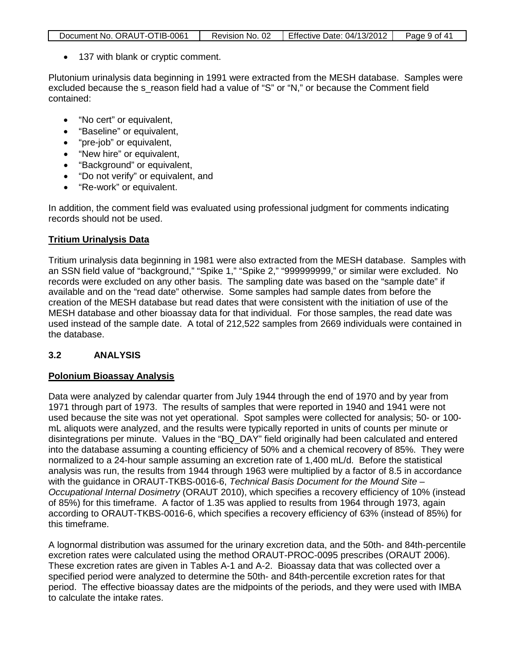| Document No. ORAUT-OTIB-0061 | Revision No. 02 | <b>Effective Date: 04/13/2012</b> | Page 9 of 41 |
|------------------------------|-----------------|-----------------------------------|--------------|

• 137 with blank or cryptic comment.

Plutonium urinalysis data beginning in 1991 were extracted from the MESH database. Samples were excluded because the s reason field had a value of "S" or "N," or because the Comment field contained:

- "No cert" or equivalent,
- "Baseline" or equivalent,
- "pre-job" or equivalent,
- "New hire" or equivalent.
- "Background" or equivalent,
- "Do not verify" or equivalent, and
- "Re-work" or equivalent.

In addition, the comment field was evaluated using professional judgment for comments indicating records should not be used.

#### **Tritium Urinalysis Data**

Tritium urinalysis data beginning in 1981 were also extracted from the MESH database. Samples with an SSN field value of "background," "Spike 1," "Spike 2," "999999999," or similar were excluded. No records were excluded on any other basis. The sampling date was based on the "sample date" if available and on the "read date" otherwise. Some samples had sample dates from before the creation of the MESH database but read dates that were consistent with the initiation of use of the MESH database and other bioassay data for that individual. For those samples, the read date was used instead of the sample date. A total of 212,522 samples from 2669 individuals were contained in the database.

#### **3.2 ANALYSIS**

#### **Polonium Bioassay Analysis**

Data were analyzed by calendar quarter from July 1944 through the end of 1970 and by year from 1971 through part of 1973. The results of samples that were reported in 1940 and 1941 were not used because the site was not yet operational. Spot samples were collected for analysis; 50- or 100 mL aliquots were analyzed, and the results were typically reported in units of counts per minute or disintegrations per minute. Values in the "BQ\_DAY" field originally had been calculated and entered into the database assuming a counting efficiency of 50% and a chemical recovery of 85%. They were normalized to a 24-hour sample assuming an excretion rate of 1,400 mL/d. Before the statistical analysis was run, the results from 1944 through 1963 were multiplied by a factor of 8.5 in accordance with the guidance in ORAUT-TKBS-0016-6, *Technical Basis Document for the Mound Site – Occupational Internal Dosimetry* (ORAUT 2010), which specifies a recovery efficiency of 10% (instead of 85%) for this timeframe. A factor of 1.35 was applied to results from 1964 through 1973, again according to ORAUT-TKBS-0016-6, which specifies a recovery efficiency of 63% (instead of 85%) for this timeframe.

A lognormal distribution was assumed for the urinary excretion data, and the 50th- and 84th-percentile excretion rates were calculated using the method ORAUT-PROC-0095 prescribes (ORAUT 2006). These excretion rates are given in Tables A-1 and A-2. Bioassay data that was collected over a specified period were analyzed to determine the 50th- and 84th-percentile excretion rates for that period. The effective bioassay dates are the midpoints of the periods, and they were used with IMBA to calculate the intake rates.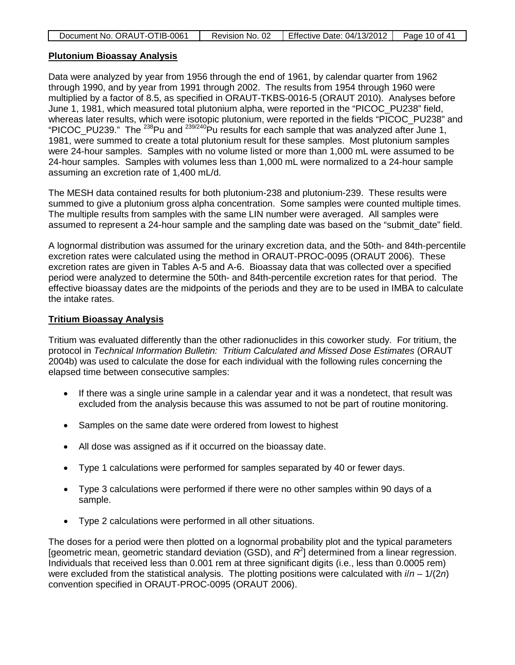| Document No. ORAUT-OTIB-0061 | Revision No. 02 | <b>Effective Date: 04/13/2012</b> | Page 10 of 41 |
|------------------------------|-----------------|-----------------------------------|---------------|
|                              |                 |                                   |               |

#### **Plutonium Bioassay Analysis**

Data were analyzed by year from 1956 through the end of 1961, by calendar quarter from 1962 through 1990, and by year from 1991 through 2002. The results from 1954 through 1960 were multiplied by a factor of 8.5, as specified in ORAUT-TKBS-0016-5 (ORAUT 2010). Analyses before June 1, 1981, which measured total plutonium alpha, were reported in the "PICOC\_PU238" field, whereas later results, which were isotopic plutonium, were reported in the fields "PICOC\_PU238" and "PICOC\_PU239." The 238Pu and 239/240Pu results for each sample that was analyzed after June 1, 1981, were summed to create a total plutonium result for these samples. Most plutonium samples were 24-hour samples. Samples with no volume listed or more than 1,000 mL were assumed to be 24-hour samples. Samples with volumes less than 1,000 mL were normalized to a 24-hour sample assuming an excretion rate of 1,400 mL/d.

The MESH data contained results for both plutonium-238 and plutonium-239. These results were summed to give a plutonium gross alpha concentration. Some samples were counted multiple times. The multiple results from samples with the same LIN number were averaged. All samples were assumed to represent a 24-hour sample and the sampling date was based on the "submit\_date" field.

A lognormal distribution was assumed for the urinary excretion data, and the 50th- and 84th-percentile excretion rates were calculated using the method in ORAUT-PROC-0095 (ORAUT 2006). These excretion rates are given in Tables A-5 and A-6. Bioassay data that was collected over a specified period were analyzed to determine the 50th- and 84th-percentile excretion rates for that period. The effective bioassay dates are the midpoints of the periods and they are to be used in IMBA to calculate the intake rates.

#### **Tritium Bioassay Analysis**

Tritium was evaluated differently than the other radionuclides in this coworker study. For tritium, the protocol in *Technical Information Bulletin: Tritium Calculated and Missed Dose Estimates* (ORAUT 2004b) was used to calculate the dose for each individual with the following rules concerning the elapsed time between consecutive samples:

- If there was a single urine sample in a calendar year and it was a nondetect, that result was excluded from the analysis because this was assumed to not be part of routine monitoring.
- Samples on the same date were ordered from lowest to highest
- All dose was assigned as if it occurred on the bioassay date.
- Type 1 calculations were performed for samples separated by 40 or fewer days.
- Type 3 calculations were performed if there were no other samples within 90 days of a sample.
- Type 2 calculations were performed in all other situations.

The doses for a period were then plotted on a lognormal probability plot and the typical parameters [geometric mean, geometric standard deviation (GSD), and  $R^2$ ] determined from a linear regression. Individuals that received less than 0.001 rem at three significant digits (i.e., less than 0.0005 rem) were excluded from the statistical analysis. The plotting positions were calculated with *i*/*n* – 1/(2*n*) convention specified in ORAUT-PROC-0095 (ORAUT 2006).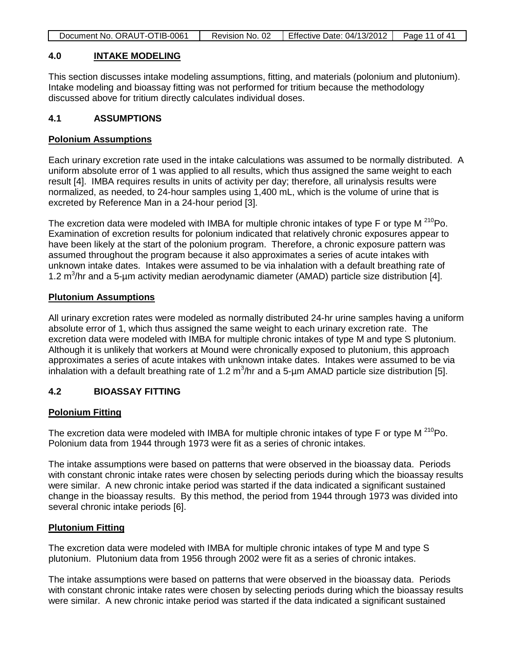| Document No. ORAUT-OTIB-0061<br>Effective Date: 04/13/2012<br>Page 11 of 41<br>Revision No. 02 |
|------------------------------------------------------------------------------------------------|
|------------------------------------------------------------------------------------------------|

#### **4.0 INTAKE MODELING**

This section discusses intake modeling assumptions, fitting, and materials (polonium and plutonium). Intake modeling and bioassay fitting was not performed for tritium because the methodology discussed above for tritium directly calculates individual doses.

#### **4.1 ASSUMPTIONS**

#### **Polonium Assumptions**

Each urinary excretion rate used in the intake calculations was assumed to be normally distributed. A uniform absolute error of 1 was applied to all results, which thus assigned the same weight to each result [4]. IMBA requires results in units of activity per day; therefore, all urinalysis results were normalized, as needed, to 24-hour samples using 1,400 mL, which is the volume of urine that is excreted by Reference Man in a 24-hour period [3].

The excretion data were modeled with IMBA for multiple chronic intakes of type  $F$  or type M  $^{210}Po$ . Examination of excretion results for polonium indicated that relatively chronic exposures appear to have been likely at the start of the polonium program. Therefore, a chronic exposure pattern was assumed throughout the program because it also approximates a series of acute intakes with unknown intake dates. Intakes were assumed to be via inhalation with a default breathing rate of 1.2 m<sup>3</sup>/hr and a 5-µm activity median aerodynamic diameter (AMAD) particle size distribution [4].

#### **Plutonium Assumptions**

All urinary excretion rates were modeled as normally distributed 24-hr urine samples having a uniform absolute error of 1, which thus assigned the same weight to each urinary excretion rate. The excretion data were modeled with IMBA for multiple chronic intakes of type M and type S plutonium. Although it is unlikely that workers at Mound were chronically exposed to plutonium, this approach approximates a series of acute intakes with unknown intake dates. Intakes were assumed to be via inhalation with a default breathing rate of 1.2 m<sup>3</sup>/hr and a 5-µm AMAD particle size distribution [5].

#### **4.2 BIOASSAY FITTING**

#### **Polonium Fitting**

The excretion data were modeled with IMBA for multiple chronic intakes of type F or type M  $^{210}$ Po. Polonium data from 1944 through 1973 were fit as a series of chronic intakes.

The intake assumptions were based on patterns that were observed in the bioassay data. Periods with constant chronic intake rates were chosen by selecting periods during which the bioassay results were similar. A new chronic intake period was started if the data indicated a significant sustained change in the bioassay results. By this method, the period from 1944 through 1973 was divided into several chronic intake periods [6].

#### **Plutonium Fitting**

The excretion data were modeled with IMBA for multiple chronic intakes of type M and type S plutonium. Plutonium data from 1956 through 2002 were fit as a series of chronic intakes.

The intake assumptions were based on patterns that were observed in the bioassay data. Periods with constant chronic intake rates were chosen by selecting periods during which the bioassay results were similar. A new chronic intake period was started if the data indicated a significant sustained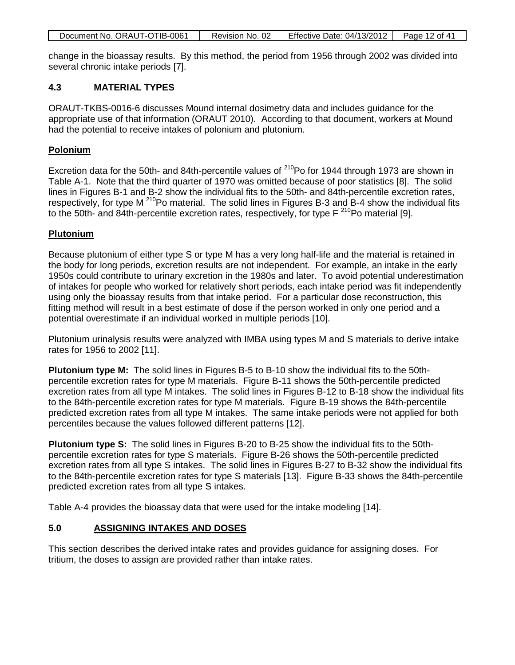|  | Document No. ORAUT-OTIB-0061 | Revision No. 02 | Effective Date: $04/13/2012$ Page 12 of 41 |  |
|--|------------------------------|-----------------|--------------------------------------------|--|
|--|------------------------------|-----------------|--------------------------------------------|--|

change in the bioassay results. By this method, the period from 1956 through 2002 was divided into several chronic intake periods [7].

#### **4.3 MATERIAL TYPES**

ORAUT-TKBS-0016-6 discusses Mound internal dosimetry data and includes guidance for the appropriate use of that information (ORAUT 2010). According to that document, workers at Mound had the potential to receive intakes of polonium and plutonium.

#### **Polonium**

Excretion data for the 50th- and 84th-percentile values of  $^{210}$ Po for 1944 through 1973 are shown in Table A-1. Note that the third quarter of 1970 was omitted because of poor statistics [8]. The solid lines in Figures B-1 and B-2 show the individual fits to the 50th- and 84th-percentile excretion rates, respectively, for type M  $^{210}$ Po material. The solid lines in Figures B-3 and B-4 show the individual fits to the 50th- and 84th-percentile excretion rates, respectively, for type  $F^{210}$ Po material [9].

#### **Plutonium**

Because plutonium of either type S or type M has a very long half-life and the material is retained in the body for long periods, excretion results are not independent. For example, an intake in the early 1950s could contribute to urinary excretion in the 1980s and later. To avoid potential underestimation of intakes for people who worked for relatively short periods, each intake period was fit independently using only the bioassay results from that intake period. For a particular dose reconstruction, this fitting method will result in a best estimate of dose if the person worked in only one period and a potential overestimate if an individual worked in multiple periods [10].

Plutonium urinalysis results were analyzed with IMBA using types M and S materials to derive intake rates for 1956 to 2002 [11].

**Plutonium type M:** The solid lines in Figures B-5 to B-10 show the individual fits to the 50thpercentile excretion rates for type M materials. Figure B-11 shows the 50th-percentile predicted excretion rates from all type M intakes. The solid lines in Figures B-12 to B-18 show the individual fits to the 84th-percentile excretion rates for type M materials. Figure B-19 shows the 84th-percentile predicted excretion rates from all type M intakes. The same intake periods were not applied for both percentiles because the values followed different patterns [12].

**Plutonium type S:** The solid lines in Figures B-20 to B-25 show the individual fits to the 50thpercentile excretion rates for type S materials. Figure B-26 shows the 50th-percentile predicted excretion rates from all type S intakes. The solid lines in Figures B-27 to B-32 show the individual fits to the 84th-percentile excretion rates for type S materials [13]. Figure B-33 shows the 84th-percentile predicted excretion rates from all type S intakes.

Table A-4 provides the bioassay data that were used for the intake modeling [14].

## **5.0 ASSIGNING INTAKES AND DOSES**

This section describes the derived intake rates and provides guidance for assigning doses. For tritium, the doses to assign are provided rather than intake rates.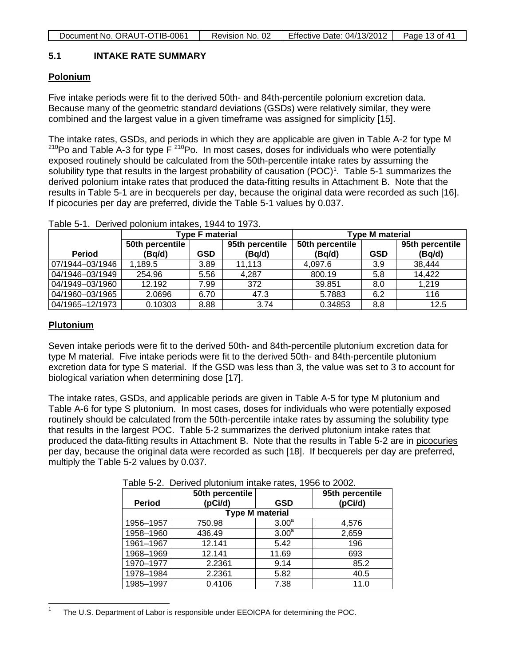#### **5.1 INTAKE RATE SUMMARY**

#### **Polonium**

Five intake periods were fit to the derived 50th- and 84th-percentile polonium excretion data. Because many of the geometric standard deviations (GSDs) were relatively similar, they were combined and the largest value in a given timeframe was assigned for simplicity [15].

The intake rates, GSDs, and periods in which they are applicable are given in Table A-2 for type M  $210P$ o and Table A-3 for type F $210P$ o. In most cases, doses for individuals who were potentially exposed routinely should be calculated from the 50th-percentile intake rates by assuming the solubility type that results in the largest probability of causation  $(POC)^1$  $(POC)^1$ . Table 5-1 summarizes the derived polonium intake rates that produced the data-fitting results in Attachment B. Note that the results in Table 5-1 are in becquerels per day, because the original data were recorded as such [16]. If picocuries per day are preferred, divide the Table 5-1 values by 0.037.

|                 | <b>Type F material</b> |      | <b>Type M material</b> |                 |            |                 |
|-----------------|------------------------|------|------------------------|-----------------|------------|-----------------|
|                 | 50th percentile        |      | 95th percentile        | 50th percentile |            | 95th percentile |
| <b>Period</b>   | (Bq/d)                 | GSD  | (Bq/d)                 | (Bq/d)          | <b>GSD</b> | (Bq/d)          |
| 07/1944-03/1946 | 1.189.5                | 3.89 | 11.113                 | 4,097.6         | 3.9        | 38,444          |
| 04/1946-03/1949 | 254.96                 | 5.56 | 4,287                  | 800.19          | 5.8        | 14,422          |
| 04/1949-03/1960 | 12.192                 | 7.99 | 372                    | 39.851          | 8.0        | 1,219           |
| 04/1960-03/1965 | 2.0696                 | 6.70 | 47.3                   | 5.7883          | 6.2        | 116             |
| 04/1965-12/1973 | 0.10303                | 8.88 | 3.74                   | 0.34853         | 8.8        | 12.5            |

Table 5-1. Derived polonium intakes, 1944 to 1973.

#### **Plutonium**

Seven intake periods were fit to the derived 50th- and 84th-percentile plutonium excretion data for type M material. Five intake periods were fit to the derived 50th- and 84th-percentile plutonium excretion data for type S material. If the GSD was less than 3, the value was set to 3 to account for biological variation when determining dose [17].

The intake rates, GSDs, and applicable periods are given in Table A-5 for type M plutonium and Table A-6 for type S plutonium. In most cases, doses for individuals who were potentially exposed routinely should be calculated from the 50th-percentile intake rates by assuming the solubility type that results in the largest POC. Table 5-2 summarizes the derived plutonium intake rates that produced the data-fitting results in Attachment B. Note that the results in Table 5-2 are in picocuries per day, because the original data were recorded as such [18]. If becquerels per day are preferred, multiply the Table 5-2 values by 0.037.

| <b>Period</b> | 50th percentile<br>(pCi/d) | <b>GSD</b>        | 95th percentile<br>(pCi/d) |  |  |  |  |
|---------------|----------------------------|-------------------|----------------------------|--|--|--|--|
|               | <b>Type M material</b>     |                   |                            |  |  |  |  |
| 1956-1957     | 750.98                     | 3.00 <sup>a</sup> | 4,576                      |  |  |  |  |
| 1958-1960     | 436.49                     | 3.00 <sup>a</sup> | 2,659                      |  |  |  |  |
| 1961-1967     | 12.141                     | 5.42              | 196                        |  |  |  |  |
| 1968-1969     | 12.141                     | 11.69             | 693                        |  |  |  |  |
| 1970-1977     | 2.2361                     | 9.14              | 85.2                       |  |  |  |  |
| 1978-1984     | 2.2361                     | 5.82              | 40.5                       |  |  |  |  |
| 1985-1997     | 0.4106                     | 7.38              | 11.0                       |  |  |  |  |

Table 5-2. Derived plutonium intake rates, 1956 to 2002.

<span id="page-12-0"></span> <sup>1</sup> The U.S. Department of Labor is responsible under EEOICPA for determining the POC.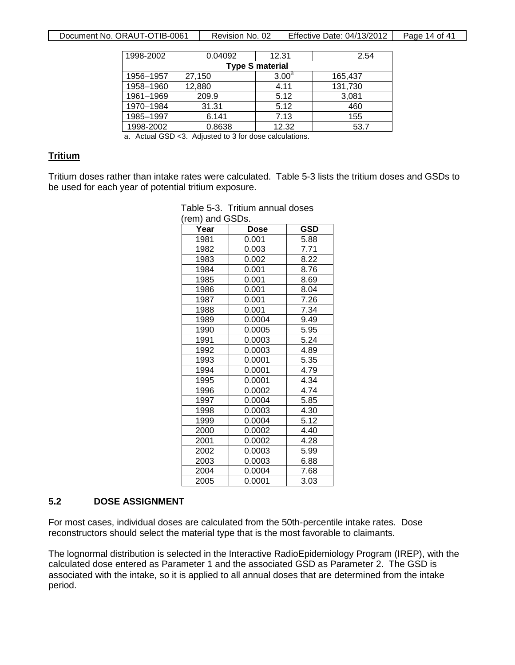| 1998-2002              | 0.04092 | 12.31             | 2.54    |  |  |  |
|------------------------|---------|-------------------|---------|--|--|--|
| <b>Type S material</b> |         |                   |         |  |  |  |
| 1956-1957              | 27,150  | 3.00 <sup>a</sup> | 165,437 |  |  |  |
| 1958-1960              | 12,880  | 4.11              | 131,730 |  |  |  |
| 1961-1969              | 209.9   | 5.12              | 3,081   |  |  |  |
| 1970-1984              | 31.31   | 5.12              | 460     |  |  |  |
| 1985-1997              | 6.141   | 7.13              | 155     |  |  |  |
| 1998-2002              | 0.8638  | 12.32             | 53.7    |  |  |  |

a. Actual GSD <3. Adjusted to 3 for dose calculations.

#### **Tritium**

Tritium doses rather than intake rates were calculated. Table 5-3 lists the tritium doses and GSDs to be used for each year of potential tritium exposure.

| Dose   | <b>GSD</b>               |
|--------|--------------------------|
| 0.001  | 5.88                     |
| 0.003  | 7.71                     |
| 0.002  | 8.22                     |
|        | 8.76                     |
| 0.001  | 8.69                     |
| 0.001  | 8.04                     |
| 0.001  | 7.26                     |
| 0.001  | 7.34                     |
| 0.0004 | 9.49                     |
| 0.0005 | 5.95                     |
| 0.0003 | 5.24                     |
| 0.0003 | 4.89                     |
| 0.0001 | 5.35                     |
| 0.0001 | 4.79                     |
| 0.0001 | 4.34                     |
| 0.0002 | 4.74                     |
| 0.0004 | 5.85                     |
| 0.0003 | 4.30                     |
| 0.0004 | 5.12                     |
| 0.0002 | 4.40                     |
| 0.0002 | 4.28                     |
| 0.0003 | 5.99                     |
| 0.0003 | 6.88                     |
| 0.0004 | 7.68                     |
|        |                          |
|        | (rem) and GSDs.<br>0.001 |

# Table 5-3. Tritium annual doses

#### **5.2 DOSE ASSIGNMENT**

For most cases, individual doses are calculated from the 50th-percentile intake rates. Dose reconstructors should select the material type that is the most favorable to claimants.

The lognormal distribution is selected in the Interactive RadioEpidemiology Program (IREP), with the calculated dose entered as Parameter 1 and the associated GSD as Parameter 2. The GSD is associated with the intake, so it is applied to all annual doses that are determined from the intake period.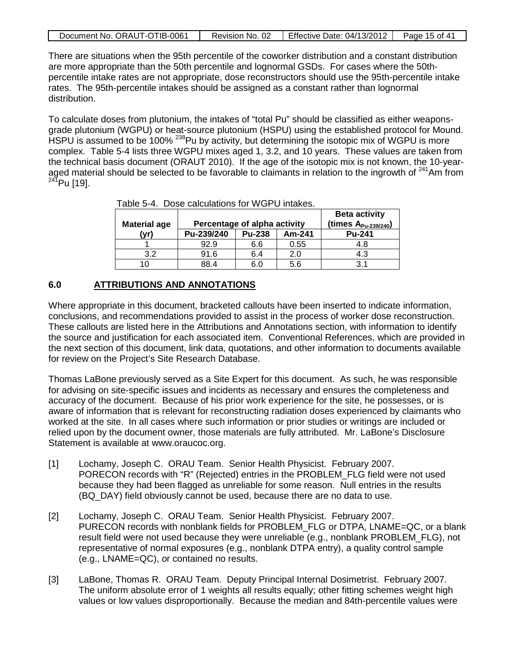| Document No. ORAUT-OTIB-0061 | Revision No. 02 | Effective Date: 04/13/2012 | Page 15 of 41 |
|------------------------------|-----------------|----------------------------|---------------|

There are situations when the 95th percentile of the coworker distribution and a constant distribution are more appropriate than the 50th percentile and lognormal GSDs. For cases where the 50thpercentile intake rates are not appropriate, dose reconstructors should use the 95th-percentile intake rates. The 95th-percentile intakes should be assigned as a constant rather than lognormal distribution.

To calculate doses from plutonium, the intakes of "total Pu" should be classified as either weaponsgrade plutonium (WGPU) or heat-source plutonium (HSPU) using the established protocol for Mound. HSPU is assumed to be 100% <sup>238</sup>Pu by activity, but determining the isotopic mix of WGPU is more complex. Table 5-4 lists three WGPU mixes aged 1, 3.2, and 10 years. These values are taken from the technical basis document (ORAUT 2010). If the age of the isotopic mix is not known, the 10-yearaged material should be selected to be favorable to claimants in relation to the ingrowth of <sup>241</sup>Am from  $^{241}$ Pu [19].

| <b>Material age</b> | Percentage of alpha activity |               |        | <b>Beta activity</b><br>(times $A_{Pu-239/240}$ ) |
|---------------------|------------------------------|---------------|--------|---------------------------------------------------|
| (vr)                | Pu-239/240                   | <b>Pu-238</b> | Am-241 | <b>Pu-241</b>                                     |
|                     | 92.9                         | 6.6           | 0.55   | 4.8                                               |
| 3.2                 | 91.6                         | 6.4           | 2.0    | 4.3                                               |
|                     | 88.4                         | 6.0           | 5.6    | 3.1                                               |

Table 5-4. Dose calculations for WGPU intakes.

#### **6.0 ATTRIBUTIONS AND ANNOTATIONS**

Where appropriate in this document, bracketed callouts have been inserted to indicate information, conclusions, and recommendations provided to assist in the process of worker dose reconstruction. These callouts are listed here in the Attributions and Annotations section, with information to identify the source and justification for each associated item. Conventional References, which are provided in the next section of this document, link data, quotations, and other information to documents available for review on the Project's Site Research Database.

Thomas LaBone previously served as a Site Expert for this document. As such, he was responsible for advising on site-specific issues and incidents as necessary and ensures the completeness and accuracy of the document. Because of his prior work experience for the site, he possesses, or is aware of information that is relevant for reconstructing radiation doses experienced by claimants who worked at the site. In all cases where such information or prior studies or writings are included or relied upon by the document owner, those materials are fully attributed. Mr. LaBone's Disclosure Statement is available at www.oraucoc.org.

- [1] Lochamy, Joseph C. ORAU Team. Senior Health Physicist. February 2007. PORECON records with "R" (Rejected) entries in the PROBLEM\_FLG field were not used because they had been flagged as unreliable for some reason. Null entries in the results (BQ\_DAY) field obviously cannot be used, because there are no data to use.
- [2] Lochamy, Joseph C. ORAU Team. Senior Health Physicist. February 2007. PURECON records with nonblank fields for PROBLEM\_FLG or DTPA, LNAME=QC, or a blank result field were not used because they were unreliable (e.g., nonblank PROBLEM\_FLG), not representative of normal exposures (e.g., nonblank DTPA entry), a quality control sample (e.g., LNAME=QC), or contained no results.
- [3] LaBone, Thomas R. ORAU Team. Deputy Principal Internal Dosimetrist. February 2007. The uniform absolute error of 1 weights all results equally; other fitting schemes weight high values or low values disproportionally. Because the median and 84th-percentile values were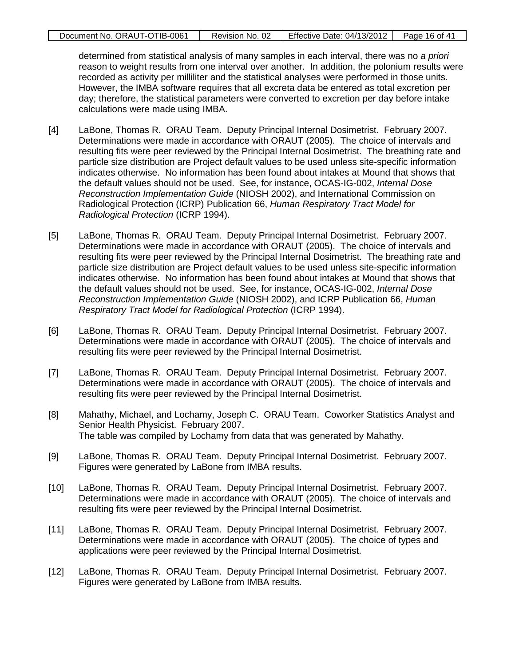| Document No. ORAUT-OTIB-0061 | Revision No. 02 | Effective Date: 04/13/2012 | Page 16 of 41 |
|------------------------------|-----------------|----------------------------|---------------|
|                              |                 |                            |               |

determined from statistical analysis of many samples in each interval, there was no *a priori* reason to weight results from one interval over another. In addition, the polonium results were recorded as activity per milliliter and the statistical analyses were performed in those units. However, the IMBA software requires that all excreta data be entered as total excretion per day; therefore, the statistical parameters were converted to excretion per day before intake calculations were made using IMBA.

- [4] LaBone, Thomas R. ORAU Team. Deputy Principal Internal Dosimetrist. February 2007. Determinations were made in accordance with ORAUT (2005). The choice of intervals and resulting fits were peer reviewed by the Principal Internal Dosimetrist. The breathing rate and particle size distribution are Project default values to be used unless site-specific information indicates otherwise. No information has been found about intakes at Mound that shows that the default values should not be used. See, for instance, OCAS-IG-002, *Internal Dose Reconstruction Implementation Guide* (NIOSH 2002), and International Commission on Radiological Protection (ICRP) Publication 66, *Human Respiratory Tract Model for Radiological Protection* (ICRP 1994).
- [5] LaBone, Thomas R. ORAU Team. Deputy Principal Internal Dosimetrist. February 2007. Determinations were made in accordance with ORAUT (2005). The choice of intervals and resulting fits were peer reviewed by the Principal Internal Dosimetrist. The breathing rate and particle size distribution are Project default values to be used unless site-specific information indicates otherwise. No information has been found about intakes at Mound that shows that the default values should not be used. See, for instance, OCAS-IG-002, *Internal Dose Reconstruction Implementation Guide* (NIOSH 2002), and ICRP Publication 66, *Human Respiratory Tract Model for Radiological Protection* (ICRP 1994).
- [6] LaBone, Thomas R. ORAU Team. Deputy Principal Internal Dosimetrist. February 2007. Determinations were made in accordance with ORAUT (2005). The choice of intervals and resulting fits were peer reviewed by the Principal Internal Dosimetrist.
- [7] LaBone, Thomas R. ORAU Team. Deputy Principal Internal Dosimetrist. February 2007. Determinations were made in accordance with ORAUT (2005). The choice of intervals and resulting fits were peer reviewed by the Principal Internal Dosimetrist.
- [8] Mahathy, Michael, and Lochamy, Joseph C. ORAU Team. Coworker Statistics Analyst and Senior Health Physicist. February 2007. The table was compiled by Lochamy from data that was generated by Mahathy.
- [9] LaBone, Thomas R. ORAU Team. Deputy Principal Internal Dosimetrist. February 2007. Figures were generated by LaBone from IMBA results.
- [10] LaBone, Thomas R. ORAU Team. Deputy Principal Internal Dosimetrist. February 2007. Determinations were made in accordance with ORAUT (2005). The choice of intervals and resulting fits were peer reviewed by the Principal Internal Dosimetrist.
- [11] LaBone, Thomas R. ORAU Team. Deputy Principal Internal Dosimetrist. February 2007. Determinations were made in accordance with ORAUT (2005). The choice of types and applications were peer reviewed by the Principal Internal Dosimetrist.
- [12] LaBone, Thomas R. ORAU Team. Deputy Principal Internal Dosimetrist. February 2007. Figures were generated by LaBone from IMBA results.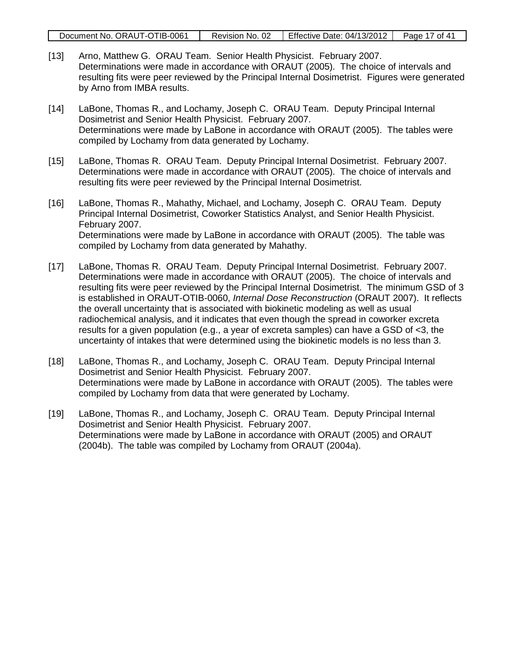|  | Document No. ORAUT-OTIB-0061 | Revision No. 02 | Effective Date: 04/13/2012 | Page 17 of 41 |
|--|------------------------------|-----------------|----------------------------|---------------|
|--|------------------------------|-----------------|----------------------------|---------------|

- [13] Arno, Matthew G. ORAU Team. Senior Health Physicist. February 2007. Determinations were made in accordance with ORAUT (2005). The choice of intervals and resulting fits were peer reviewed by the Principal Internal Dosimetrist. Figures were generated by Arno from IMBA results.
- [14] LaBone, Thomas R., and Lochamy, Joseph C. ORAU Team. Deputy Principal Internal Dosimetrist and Senior Health Physicist. February 2007. Determinations were made by LaBone in accordance with ORAUT (2005). The tables were compiled by Lochamy from data generated by Lochamy.
- [15] LaBone, Thomas R. ORAU Team. Deputy Principal Internal Dosimetrist. February 2007. Determinations were made in accordance with ORAUT (2005). The choice of intervals and resulting fits were peer reviewed by the Principal Internal Dosimetrist.
- [16] LaBone, Thomas R., Mahathy, Michael, and Lochamy, Joseph C. ORAU Team. Deputy Principal Internal Dosimetrist, Coworker Statistics Analyst, and Senior Health Physicist. February 2007. Determinations were made by LaBone in accordance with ORAUT (2005). The table was compiled by Lochamy from data generated by Mahathy.
- [17] LaBone, Thomas R. ORAU Team. Deputy Principal Internal Dosimetrist. February 2007. Determinations were made in accordance with ORAUT (2005). The choice of intervals and resulting fits were peer reviewed by the Principal Internal Dosimetrist. The minimum GSD of 3 is established in ORAUT-OTIB-0060, *Internal Dose Reconstruction* (ORAUT 2007). It reflects the overall uncertainty that is associated with biokinetic modeling as well as usual radiochemical analysis, and it indicates that even though the spread in coworker excreta results for a given population (e.g., a year of excreta samples) can have a GSD of <3, the uncertainty of intakes that were determined using the biokinetic models is no less than 3.
- [18] LaBone, Thomas R., and Lochamy, Joseph C. ORAU Team. Deputy Principal Internal Dosimetrist and Senior Health Physicist. February 2007. Determinations were made by LaBone in accordance with ORAUT (2005). The tables were compiled by Lochamy from data that were generated by Lochamy.
- [19] LaBone, Thomas R., and Lochamy, Joseph C. ORAU Team. Deputy Principal Internal Dosimetrist and Senior Health Physicist. February 2007. Determinations were made by LaBone in accordance with ORAUT (2005) and ORAUT (2004b). The table was compiled by Lochamy from ORAUT (2004a).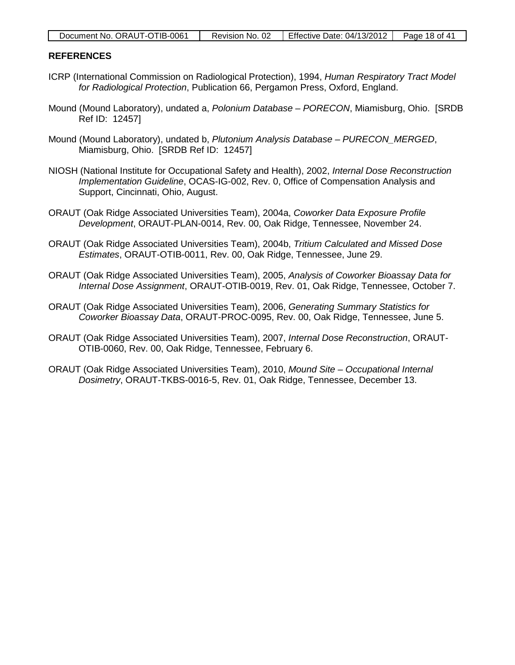| Document No. ORAUT-OTIB-0061 | Revision No. 02 | Effective Date: $04/13/2012$ | Page 18 of 41 |
|------------------------------|-----------------|------------------------------|---------------|
|------------------------------|-----------------|------------------------------|---------------|

#### **REFERENCES**

- ICRP (International Commission on Radiological Protection), 1994, *Human Respiratory Tract Model for Radiological Protection*, Publication 66, Pergamon Press, Oxford, England.
- Mound (Mound Laboratory), undated a, *Polonium Database – PORECON*, Miamisburg, Ohio. [SRDB Ref ID: 12457]
- Mound (Mound Laboratory), undated b, *Plutonium Analysis Database – PURECON\_MERGED*, Miamisburg, Ohio. [SRDB Ref ID: 12457]
- NIOSH (National Institute for Occupational Safety and Health), 2002, *Internal Dose Reconstruction Implementation Guideline*, OCAS-IG-002, Rev. 0, Office of Compensation Analysis and Support, Cincinnati, Ohio, August.
- ORAUT (Oak Ridge Associated Universities Team), 2004a, *Coworker Data Exposure Profile Development*, ORAUT-PLAN-0014, Rev. 00, Oak Ridge, Tennessee, November 24.
- ORAUT (Oak Ridge Associated Universities Team), 2004b, *Tritium Calculated and Missed Dose Estimates*, ORAUT-OTIB-0011, Rev. 00, Oak Ridge, Tennessee, June 29.
- ORAUT (Oak Ridge Associated Universities Team), 2005, *Analysis of Coworker Bioassay Data for Internal Dose Assignment*, ORAUT-OTIB-0019, Rev. 01, Oak Ridge, Tennessee, October 7.
- ORAUT (Oak Ridge Associated Universities Team), 2006, *Generating Summary Statistics for Coworker Bioassay Data*, ORAUT-PROC-0095, Rev. 00, Oak Ridge, Tennessee, June 5.
- ORAUT (Oak Ridge Associated Universities Team), 2007, *Internal Dose Reconstruction*, ORAUT-OTIB-0060, Rev. 00, Oak Ridge, Tennessee, February 6.
- ORAUT (Oak Ridge Associated Universities Team), 2010, *Mound Site – Occupational Internal Dosimetry*, ORAUT-TKBS-0016-5, Rev. 01, Oak Ridge, Tennessee, December 13.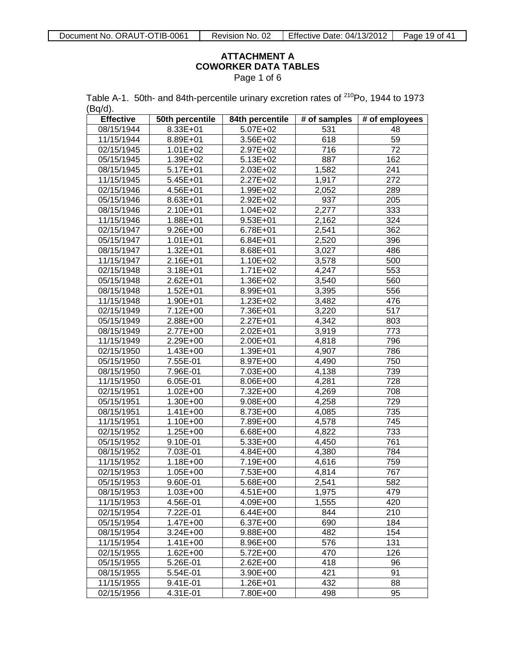#### **ATTACHMENT A COWORKER DATA TABLES** Page 1 of 6

<span id="page-18-0"></span>

|         | Table A-1. 50th- and 84th-percentile urinary excretion rates of <sup>210</sup> Po, 1944 to 1973 |  |
|---------|-------------------------------------------------------------------------------------------------|--|
| (Bq/d). |                                                                                                 |  |

| <b>Effective</b> | 50th percentile | 84th percentile       | # of samples | # of employees  |
|------------------|-----------------|-----------------------|--------------|-----------------|
| 08/15/1944       | $8.33E + 01$    | 5.07E+02              | 531          | 48              |
| 11/15/1944       | 8.89E+01        | 3.56E+02              | 618          | 59              |
| 02/15/1945       | $1.01E + 02$    | 2.97E+02              | 716          | $\overline{72}$ |
| 05/15/1945       | 1.39E+02        | 5.13E+02              | 887          | 162             |
| 08/15/1945       | $5.17E + 01$    | 2.03E+02              | 1,582        | 241             |
| 11/15/1945       | 5.45E+01        | 2.27E+02              | 1,917        | 272             |
| 02/15/1946       | $4.56E + 01$    | 1.99E+02              | 2,052        | 289             |
| 05/15/1946       | 8.63E+01        | $2.92E+02$            | 937          | 205             |
| 08/15/1946       | 2.10E+01        | $1.04E + 02$          | 2,277        | 333             |
| 11/15/1946       | 1.88E+01        | $9.53E + 01$          | 2,162        | 324             |
| 02/15/1947       | 9.26E+00        | 6.78E+01              | 2,541        | 362             |
| 05/15/1947       | $1.01E + 01$    | 6.84E+01              | 2,520        | 396             |
| 08/15/1947       | 1.32E+01        | 8.68E+01              | 3,027        | 486             |
| 11/15/1947       | 2.16E+01        | 1.10E+02              | 3,578        | 500             |
| 02/15/1948       | 3.18E+01        | $1.71E + 02$          | 4,247        | 553             |
| 05/15/1948       | 2.62E+01        | 1.36E+02              | 3,540        | 560             |
| 08/15/1948       | 1.52E+01        | 8.99E+01              | 3,395        | 556             |
| 11/15/1948       | 1.90E+01        | $1.23E + 02$          | 3,482        | 476             |
| 02/15/1949       | 7.12E+00        | 7.36E+01              | 3,220        | 517             |
| 05/15/1949       | 2.88E+00        | 2.27E+01              | 4,342        | 803             |
| 08/15/1949       | 2.77E+00        | 2.02E+01              | 3,919        | 773             |
| 11/15/1949       | 2.29E+00        | 2.00E+01              | 4,818        | 796             |
| 02/15/1950       | $1.43E + 00$    | 1.39E+01              | 4,907        | 786             |
| 05/15/1950       | 7.55E-01        | 8.97E+00              | 4,490        | 750             |
| 08/15/1950       | 7.96E-01        | 7.03E+00              | 4,138        | 739             |
| 11/15/1950       | 6.05E-01        | 8.06E+00              | 4,281        | 728             |
| 02/15/1951       | $1.02E + 00$    | 7.32E+00              | 4,269        | 708             |
| 05/15/1951       | 1.30E+00        | 9.08E+00              | 4,258        | 729             |
| 08/15/1951       | $1.41E + 00$    | $8.73E + 00$          | 4,085        | 735             |
| 11/15/1951       | 1.10E+00        | 7.89E+00              | 4,578        | 745             |
| 02/15/1952       | 1.25E+00        | 6.68E+00              | 4,822        | 733             |
| 05/15/1952       | 9.10E-01        | $\overline{5.33E+00}$ | 4,450        | 761             |
| 08/15/1952       | 7.03E-01        | 4.84E+00              | 4,380        | 784             |
| 11/15/1952       | 1.18E+00        | 7.19E+00              | 4,616        | 759             |
| 02/15/1953       | $1.05E + 00$    | 7.53E+00              | 4,814        | 767             |
| 05/15/1953       | 9.60E-01        | 5.68E+00              | 2,541        | 582             |
| 08/15/1953       | 1.03E+00        | 4.51E+00              | 1,975        | 479             |
| 11/15/1953       | 4.56E-01        | 4.09E+00              | 1,555        | 420             |
| 02/15/1954       | 7.22E-01        | $6.44E + 00$          | 844          | 210             |
| 05/15/1954       | 1.47E+00        | 6.37E+00              | 690          | 184             |
| 08/15/1954       | 3.24E+00        | 9.88E+00              | 482          | 154             |
| 11/15/1954       | $1.41E + 00$    | 8.96E+00              | 576          | 131             |
| 02/15/1955       | $1.62E + 00$    | 5.72E+00              | 470          | 126             |
| 05/15/1955       | 5.26E-01        | 2.62E+00              | 418          | 96              |
| 08/15/1955       | 5.54E-01        | 3.90E+00              | 421          | 91              |
| 11/15/1955       | 9.41E-01        | 1.26E+01              | 432          | 88              |
| 02/15/1956       | $4.31E-01$      | 7.80E+00              | 498          | 95              |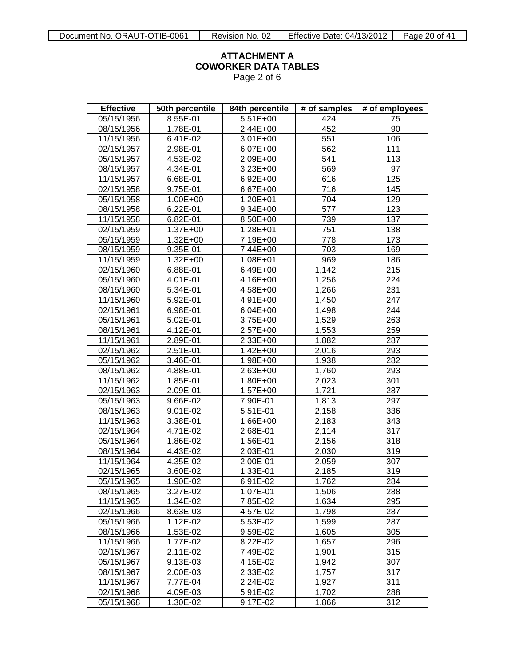Page 2 of 6

| <b>Effective</b> | 50th percentile | 84th percentile | # of samples         | # of employees    |
|------------------|-----------------|-----------------|----------------------|-------------------|
| 05/15/1956       | 8.55E-01        | 5.51E+00        | 424                  | 75                |
| 08/15/1956       | 1.78E-01        | 2.44E+00        | 452                  | 90                |
| 11/15/1956       | 6.41E-02        | 3.01E+00        | 551                  | 106               |
| 02/15/1957       | 2.98E-01        | 6.07E+00        | 562                  | 111               |
| 05/15/1957       | 4.53E-02        | 2.09E+00        | 541                  | 113               |
| 08/15/1957       | 4.34E-01        | 3.23E+00        | 569                  | 97                |
| 11/15/1957       | 6.68E-01        | $6.92E + 00$    | 616                  | 125               |
| 02/15/1958       | 9.75E-01        | 6.67E+00        | 716                  | 145               |
| 05/15/1958       | $1.00E + 00$    | 1.20E+01        | 704                  | $\overline{129}$  |
| 08/15/1958       | 6.22E-01        | 9.34E+00        | 577                  | 123               |
| 11/15/1958       | 6.82E-01        | 8.50E+00        | 739                  | 137               |
| 02/15/1959       | 1.37E+00        | 1.28E+01        | 751                  | 138               |
| 05/15/1959       | $1.32E + 00$    | 7.19E+00        | 778                  | 173               |
| 08/15/1959       | 9.35E-01        | 7.44E+00        | 703                  | 169               |
| 11/15/1959       | $1.32E + 00$    | 1.08E+01        | 969                  | 186               |
| 02/15/1960       | 6.88E-01        | 6.49E+00        | 1,142                | 215               |
| 05/15/1960       | 4.01E-01        | 4.16E+00        | 1,256                | 224               |
| 08/15/1960       | 5.34E-01        | 4.58E+00        | 1,266                | 231               |
| 11/15/1960       | 5.92E-01        | 4.91E+00        | 1,450                | 247               |
| 02/15/1961       | 6.98E-01        | $6.04E + 00$    | 1,498                | 244               |
| 05/15/1961       | 5.02E-01        | $3.75E + 00$    | 1,529                | 263               |
| 08/15/1961       | 4.12E-01        | 2.57E+00        | 1,553                | 259               |
| 11/15/1961       | 2.89E-01        | 2.33E+00        | 1,882                | 287               |
| 02/15/1962       | 2.51E-01        | 1.42E+00        | 2,016                | 293               |
| 05/15/1962       | 3.46E-01        | 1.98E+00        | 1,938                | 282               |
| 08/15/1962       | 4.88E-01        | 2.63E+00        | 1,760                | 293               |
| 11/15/1962       | 1.85E-01        | 1.80E+00        | 2,023                | 301               |
| 02/15/1963       | 2.09E-01        | $1.57E + 00$    | 1,721                | 287               |
| 05/15/1963       | 9.66E-02        | 7.90E-01        | 1,813                | 297               |
| 08/15/1963       | 9.01E-02        | 5.51E-01        | 2,158                | 336               |
| 11/15/1963       | 3.38E-01        | 1.66E+00        | 2,183                | 343               |
| 02/15/1964       | 4.71E-02        | 2.68E-01        | 2,114                | 317               |
| 05/15/1964       | 1.86E-02        | 1.56E-01        | 2,156                | $\overline{3}$ 18 |
| 08/15/1964       | 4.43E-02        | 2.03E-01        | 2,030                | 319               |
| 11/15/1964       | 4.35E-02        | 2.00E-01        | 2,059                | 307               |
| 02/15/1965       | 3.60E-02        | 1.33E-01        | $\overline{2}$ , 185 | 319               |
| 05/15/1965       | $1.90E - 02$    | 6.91E-02        | 1,762                | 284               |
| 08/15/1965       | 3.27E-02        | 1.07E-01        | 1,506                | 288               |
| 11/15/1965       | 1.34E-02        | 7.85E-02        | 1,634                | 295               |
| 02/15/1966       | 8.63E-03        | 4.57E-02        | 1,798                | 287               |
| 05/15/1966       | 1.12E-02        | 5.53E-02        | 1,599                | 287               |
| 08/15/1966       | 1.53E-02        | 9.59E-02        | 1,605                | 305               |
| 11/15/1966       | 1.77E-02        | 8.22E-02        | 1,657                | 296               |
| 02/15/1967       | 2.11E-02        | 7.49E-02        | 1,901                | 315               |
| 05/15/1967       | 9.13E-03        | 4.15E-02        | 1,942                | 307               |
| 08/15/1967       | 2.00E-03        | 2.33E-02        | 1,757                | 317               |
| 11/15/1967       | 7.77E-04        | 2.24E-02        | 1,927                | 311               |
| 02/15/1968       | 4.09E-03        | 5.91E-02        | 1,702                | 288               |
| 05/15/1968       | 1.30E-02        | 9.17E-02        | 1,866                | 312               |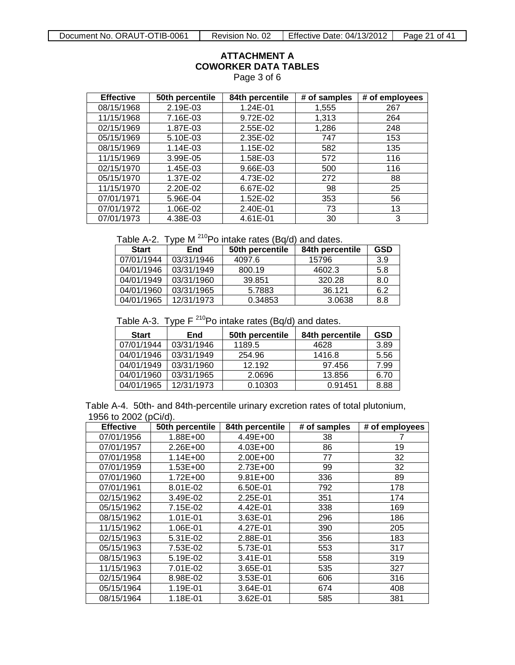Page 3 of 6

| <b>Effective</b> | 50th percentile | 84th percentile | # of samples | # of employees |
|------------------|-----------------|-----------------|--------------|----------------|
| 08/15/1968       | 2.19E-03        | 1.24E-01        | 1,555        | 267            |
| 11/15/1968       | 7.16E-03        | 9.72E-02        | 1,313        | 264            |
| 02/15/1969       | 1.87E-03        | 2.55E-02        | 1,286        | 248            |
| 05/15/1969       | 5.10E-03        | 2.35E-02        | 747          | 153            |
| 08/15/1969       | 1.14E-03        | 1.15E-02        | 582          | 135            |
| 11/15/1969       | 3.99E-05        | 1.58E-03        | 572          | 116            |
| 02/15/1970       | 1.45E-03        | 9.66E-03        | 500          | 116            |
| 05/15/1970       | 1.37E-02        | 4.73E-02        | 272          | 88             |
| 11/15/1970       | 2.20E-02        | 6.67E-02        | 98           | 25             |
| 07/01/1971       | 5.96E-04        | 1.52E-02        | 353          | 56             |
| 07/01/1972       | 1.06E-02        | 2.40E-01        | 73           | 13             |
| 07/01/1973       | 4.38E-03        | 4.61E-01        | 30           | 3              |

Table A-2. Type  $M^{210}Po$  intake rates (Bq/d) and dates.

| <b>Start</b> | End        | 50th percentile | 84th percentile | GSD |
|--------------|------------|-----------------|-----------------|-----|
| 07/01/1944   | 03/31/1946 | 4097.6          | 15796           | 3.9 |
| 04/01/1946   | 03/31/1949 | 800.19          | 4602.3          | 5.8 |
| 04/01/1949   | 03/31/1960 | 39.851          | 320.28          | 8.0 |
| 04/01/1960   | 03/31/1965 | 5.7883          | 36.121          | 6.2 |
| 04/01/1965   | 12/31/1973 | 0.34853         | 3.0638          | 8.8 |

Table A-3. Type  $F^{210}Po$  intake rates (Bq/d) and dates.

| <b>Start</b> | End        | 50th percentile | 84th percentile | GSD  |
|--------------|------------|-----------------|-----------------|------|
| 07/01/1944   | 03/31/1946 | 1189.5          | 4628            | 3.89 |
| 04/01/1946   | 03/31/1949 | 254.96          | 1416.8          | 5.56 |
| 04/01/1949   | 03/31/1960 | 12.192          | 97.456          | 7.99 |
| 04/01/1960   | 03/31/1965 | 2.0696          | 13.856          | 6.70 |
| 04/01/1965   | 12/31/1973 | 0.10303         | 0.91451         | 8.88 |

Table A-4. 50th- and 84th-percentile urinary excretion rates of total plutonium, 1956 to 2002 (pCi/d).

| <b>Effective</b> | 50th percentile | 84th percentile | # of samples | # of employees |
|------------------|-----------------|-----------------|--------------|----------------|
| 07/01/1956       | 1.88E+00        | 4.49E+00        | 38           |                |
| 07/01/1957       | 2.26E+00        | 4.03E+00        | 86           | 19             |
| 07/01/1958       | $1.14E + 00$    | 2.00E+00        | 77           | 32             |
| 07/01/1959       | $1.53E + 00$    | 2.73E+00        | 99           | 32             |
| 07/01/1960       | $1.72E + 00$    | $9.81E + 00$    | 336          | 89             |
| 07/01/1961       | 8.01E-02        | 6.50E-01        | 792          | 178            |
| 02/15/1962       | 3.49E-02        | 2.25E-01        | 351          | 174            |
| 05/15/1962       | 7.15E-02        | 4.42E-01        | 338          | 169            |
| 08/15/1962       | 1.01E-01        | 3.63E-01        | 296          | 186            |
| 11/15/1962       | 1.06E-01        | 4.27E-01        | 390          | 205            |
| 02/15/1963       | 5.31E-02        | 2.88E-01        | 356          | 183            |
| 05/15/1963       | 7.53E-02        | 5.73E-01        | 553          | 317            |
| 08/15/1963       | 5.19E-02        | 3.41E-01        | 558          | 319            |
| 11/15/1963       | 7.01E-02        | 3.65E-01        | 535          | 327            |
| 02/15/1964       | 8.98E-02        | 3.53E-01        | 606          | 316            |
| 05/15/1964       | 1.19E-01        | 3.64E-01        | 674          | 408            |
| 08/15/1964       | 1.18E-01        | 3.62E-01        | 585          | 381            |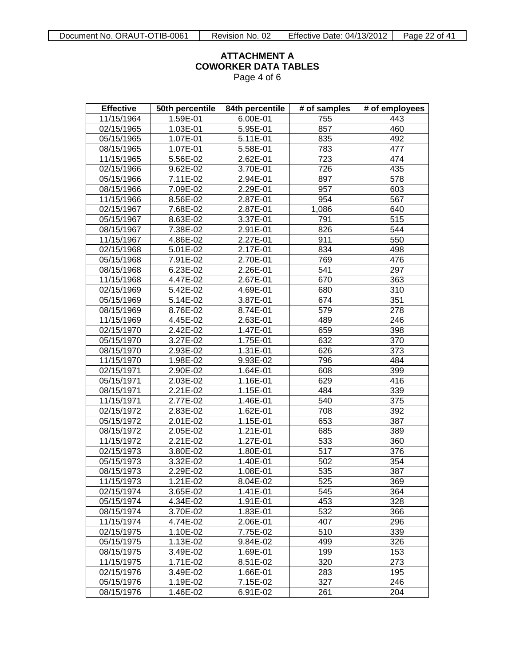Page 4 of 6

| <b>Effective</b>        | 50th percentile        | 84th percentile | # of samples     | # of employees   |
|-------------------------|------------------------|-----------------|------------------|------------------|
| 11/15/1964              | 1.59E-01               | 6.00E-01        | 755              | 443              |
| 02/15/1965              | 1.03E-01               | 5.95E-01        | 857              | 460              |
| 05/15/1965              | $1.07E-01$             | 5.11E-01        | 835              | 492              |
| 08/15/1965              | 1.07E-01               | 5.58E-01        | 783              | 477              |
| 11/15/1965              | $\overline{5.56}$ E-02 | 2.62E-01        | 723              | 474              |
| $\overline{02/1}5/1966$ | $9.62E-02$             | 3.70E-01        | 726              | 435              |
| 05/15/1966              | 7.11E-02               | 2.94E-01        | 897              | 578              |
| 08/15/1966              | 7.09E-02               | 2.29E-01        | 957              | 603              |
| 11/15/1966              | 8.56E-02               | 2.87E-01        | 954              | 567              |
| $\overline{02/1}5/1967$ | 7.68E-02               | 2.87E-01        | 1,086            | 640              |
| 05/15/1967              | 8.63E-02               | 3.37E-01        | 791              | 515              |
| 08/15/1967              | 7.38E-02               | 2.91E-01        | 826              | 544              |
| 11/15/1967              | 4.86E-02               | 2.27E-01        | 911              | 550              |
| $\overline{02/1}5/1968$ | 5.01E-02               | 2.17E-01        | 834              | 498              |
| 05/15/1968              | 7.91E-02               | 2.70E-01        | 769              | 476              |
| 08/15/1968              | $6.23E-02$             | 2.26E-01        | 541              | 297              |
| 11/15/1968              | 4.47E-02               | 2.67E-01        | 670              | 363              |
| 02/15/1969              | $\overline{5}$ .42E-02 | 4.69E-01        | 680              | 310              |
| 05/15/1969              | 5.14E-02               | 3.87E-01        | 674              | 351              |
| 08/15/1969              | 8.76E-02               | 8.74E-01        | 579              | 278              |
| 11/15/1969              | 4.45E-02               | 2.63E-01        | 489              | 246              |
| 02/15/1970              | 2.42E-02               | 1.47E-01        | 659              | 398              |
| 05/15/1970              | $3.27E-02$             | 1.75E-01        | 632              | 370              |
| 08/15/1970              | 2.93E-02               | 1.31E-01        | 626              | 373              |
| 11/15/1970              | 1.98E-02               | 9.93E-02        | 796              | 484              |
| 02/15/1971              | 2.90E-02               | 1.64E-01        | 608              | 399              |
| 05/15/1971              | 2.03E-02               | 1.16E-01        | 629              | 416              |
| 08/15/1971              | $2.21E-02$             | 1.15E-01        | 484              | 339              |
| 11/15/1971              | 2.77E-02               | 1.46E-01        | 540              | $\overline{375}$ |
| 02/15/1972              | 2.83E-02               | 1.62E-01        | 708              | $\overline{392}$ |
| 05/15/1972              | 2.01E-02               | 1.15E-01        | 653              | 387              |
| 08/15/1972              | 2.05E-02               | 1.21E-01        | 685              | 389              |
| 11/15/1972              | $2.21E-02$             | 1.27E-01        | 533              | 360              |
| $\overline{02}/15/1973$ | 3.80E-02               | 1.80E-01        | 517              | 376              |
| 05/15/1973              | $3.32E-02$             | 1.40E-01        | 502              | 354              |
| 08/15/1973              | $2.29E-02$             | 1.08E-01        | 535              | 387              |
| 11/15/1973              | $1.21E-02$             | 8.04E-02        | $\overline{525}$ | 369              |
| 02/15/1974              | 3.65E-02               | 1.41E-01        | 545              | 364              |
| 05/15/1974              | 4.34E-02               | 1.91E-01        | 453              | 328              |
| 08/15/1974              | 3.70E-02               | 1.83E-01        | 532              | 366              |
| 11/15/1974              | 4.74E-02               | 2.06E-01        | 407              | 296              |
| 02/15/1975              | 1.10E-02               | 7.75E-02        | 510              | 339              |
| 05/15/1975              | 1.13E-02               | 9.84E-02        | 499              | $\overline{326}$ |
| 08/15/1975              | 3.49E-02               | 1.69E-01        | 199              | 153              |
| 11/15/1975              | 1.71E-02               | 8.51E-02        | 320              | 273              |
| 02/15/1976              | 3.49E-02               | 1.66E-01        | 283              | 195              |
| 05/15/1976              | 1.19E-02               | 7.15E-02        | 327              | 246              |
| 08/15/1976              | 1.46E-02               | 6.91E-02        | 261              | 204              |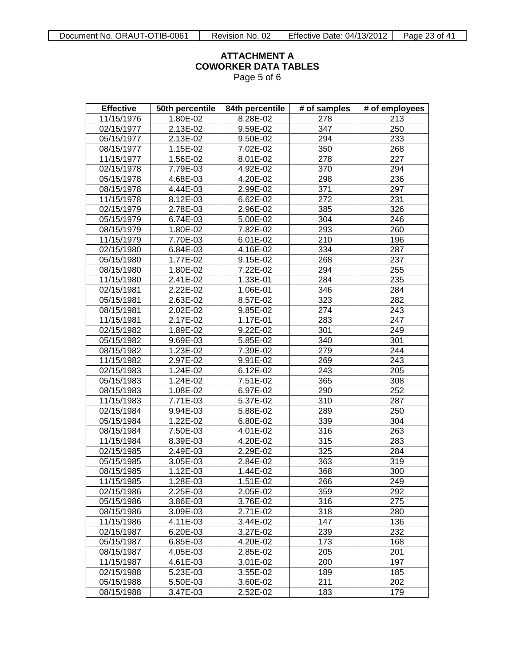Page 5 of 6

| <b>Effective</b> | 50th percentile | 84th percentile | # of samples      | # of employees |
|------------------|-----------------|-----------------|-------------------|----------------|
| 11/15/1976       | 1.80E-02        | 8.28E-02        | 278               | 213            |
| 02/15/1977       | 2.13E-02        | 9.59E-02        | $\overline{3}47$  | 250            |
| 05/15/1977       | 2.13E-02        | 9.50E-02        | 294               | 233            |
| 08/15/1977       | 1.15E-02        | 7.02E-02        | $\overline{350}$  | 268            |
| 11/15/1977       | 1.56E-02        | 8.01E-02        | 278               | 227            |
| 02/15/1978       | 7.79E-03        | 4.92E-02        | 370               | 294            |
| 05/15/1978       | 4.68E-03        | 4.20E-02        | 298               | 236            |
| 08/15/1978       | 4.44E-03        | 2.99E-02        | 371               | 297            |
| 11/15/1978       | 8.12E-03        | 6.62E-02        | 272               | 231            |
| 02/15/1979       | 2.78E-03        | 2.96E-02        | 385               | 326            |
| 05/15/1979       | 6.74E-03        | 5.00E-02        | 304               | 246            |
| 08/15/1979       | 1.80E-02        | 7.82E-02        | 293               | 260            |
| 11/15/1979       | 7.70E-03        | 6.01E-02        | 210               | 196            |
| 02/15/1980       | 6.84E-03        | 4.16E-02        | 334               | 287            |
| 05/15/1980       | 1.77E-02        | 9.15E-02        | 268               | 237            |
| 08/15/1980       | 1.80E-02        | 7.22E-02        | 294               | 255            |
| 11/15/1980       | 2.41E-02        | 1.33E-01        | 284               | 235            |
| 02/15/1981       | 2.22E-02        | 1.06E-01        | 346               | 284            |
| 05/15/1981       | 2.63E-02        | 8.57E-02        | 323               | 282            |
| 08/15/1981       | 2.02E-02        | 9.85E-02        | 274               | 243            |
| 11/15/1981       | 2.17E-02        | 1.17E-01        | 283               | 247            |
| 02/15/1982       | 1.89E-02        | 9.22E-02        | 301               | 249            |
| 05/15/1982       | 9.69E-03        | 5.85E-02        | 340               | 301            |
| 08/15/1982       | 1.23E-02        | 7.39E-02        | 279               | 244            |
| 11/15/1982       | 2.97E-02        | 9.91E-02        | 269               | 243            |
| 02/15/1983       | 1.24E-02        | 6.12E-02        | 243               | 205            |
| 05/15/1983       | 1.24E-02        | 7.51E-02        | 365               | 308            |
| 08/15/1983       | 1.08E-02        | 6.97E-02        | 290               | 252            |
| 11/15/1983       | 7.71E-03        | 5.37E-02        | 310               | 287            |
| 02/15/1984       | 9.94E-03        | 5.88E-02        | 289               | 250            |
| 05/15/1984       | 1.22E-02        | 6.80E-02        | 339               | 304            |
| 08/15/1984       | 7.50E-03        | 4.01E-02        | 316               | 263            |
| 11/15/1984       | 8.39E-03        | 4.20E-02        | $\overline{3}$ 15 | 283            |
| 02/15/1985       | 2.49E-03        | 2.29E-02        | 325               | 284            |
| 05/15/1985       | 3.05E-03        | 2.84E-02        | 363               | 319            |
| 08/15/1985       | 1.12E-03        | 1.44E-02        | 368               | 300            |
| 11/15/1985       | 1.28E-03        | $1.51E-02$      | 266               | 249            |
| 02/15/1986       | 2.25E-03        | 2.05E-02        | 359               | 292            |
| 05/15/1986       | 3.86E-03        | 3.76E-02        | 316               | 275            |
| 08/15/1986       | 3.09E-03        | 2.71E-02        | 318               | 280            |
| 11/15/1986       | 4.11E-03        | 3.44E-02        | 147               | 136            |
| 02/15/1987       | 6.20E-03        | 3.27E-02        | 239               | 232            |
| 05/15/1987       | 6.85E-03        | 4.20E-02        | 173               | 168            |
| 08/15/1987       | 4.05E-03        | 2.85E-02        | 205               | 201            |
| 11/15/1987       | 4.61E-03        | 3.01E-02        | 200               | 197            |
| 02/15/1988       | 5.23E-03        | 3.55E-02        | 189               | 185            |
| 05/15/1988       | 5.50E-03        | 3.60E-02        | 211               | 202            |
| 08/15/1988       | 3.47E-03        | 2.52E-02        | 183               | 179            |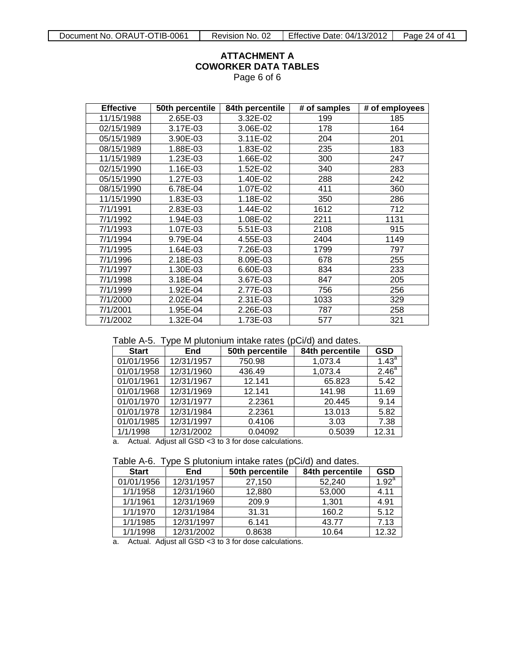Page 6 of 6

| <b>Effective</b> | 50th percentile | 84th percentile | # of samples | # of employees |
|------------------|-----------------|-----------------|--------------|----------------|
| 11/15/1988       | 2.65E-03        | 3.32E-02        | 199          | 185            |
| 02/15/1989       | 3.17E-03        | 3.06E-02        | 178          | 164            |
| 05/15/1989       | 3.90E-03        | 3.11E-02        | 204          | 201            |
| 08/15/1989       | 1.88E-03        | 1.83E-02        | 235          | 183            |
| 11/15/1989       | 1.23E-03        | 1.66E-02        | 300          | 247            |
| 02/15/1990       | 1.16E-03        | 1.52E-02        | 340          | 283            |
| 05/15/1990       | 1.27E-03        | 1.40E-02        | 288          | 242            |
| 08/15/1990       | 6.78E-04        | 1.07E-02        | 411          | 360            |
| 11/15/1990       | 1.83E-03        | 1.18E-02        | 350          | 286            |
| 7/1/1991         | 2.83E-03        | 1.44E-02        | 1612         | 712            |
| 7/1/1992         | 1.94E-03        | 1.08E-02        | 2211         | 1131           |
| 7/1/1993         | 1.07E-03        | 5.51E-03        | 2108         | 915            |
| 7/1/1994         | 9.79E-04        | 4.55E-03        | 2404         | 1149           |
| 7/1/1995         | 1.64E-03        | 7.26E-03        | 1799         | 797            |
| 7/1/1996         | 2.18E-03        | 8.09E-03        | 678          | 255            |
| 7/1/1997         | 1.30E-03        | 6.60E-03        | 834          | 233            |
| 7/1/1998         | 3.18E-04        | 3.67E-03        | 847          | 205            |
| 7/1/1999         | 1.92E-04        | 2.77E-03        | 756          | 256            |
| 7/1/2000         | 2.02E-04        | 2.31E-03        | 1033         | 329            |
| 7/1/2001         | 1.95E-04        | 2.26E-03        | 787          | 258            |
| 7/1/2002         | 1.32E-04        | 1.73E-03        | 577          | 321            |

#### Table A-5. Type M plutonium intake rates (pCi/d) and dates.

|                                                             | <i>.</i> . |                 |                 |                   |  |  |
|-------------------------------------------------------------|------------|-----------------|-----------------|-------------------|--|--|
| <b>Start</b>                                                | End        | 50th percentile | 84th percentile | <b>GSD</b>        |  |  |
| 01/01/1956                                                  | 12/31/1957 | 750.98          | 1,073.4         | $1.43^{a}$        |  |  |
| 01/01/1958                                                  | 12/31/1960 | 436.49          | 1,073.4         | 2.46 <sup>a</sup> |  |  |
| 01/01/1961                                                  | 12/31/1967 | 12.141          | 65.823          | 5.42              |  |  |
| 01/01/1968                                                  | 12/31/1969 | 12.141          | 141.98          | 11.69             |  |  |
| 01/01/1970                                                  | 12/31/1977 | 2.2361          | 20.445          | 9.14              |  |  |
| 01/01/1978                                                  | 12/31/1984 | 2.2361          | 13.013          | 5.82              |  |  |
| 01/01/1985                                                  | 12/31/1997 | 0.4106          | 3.03            | 7.38              |  |  |
| 1/1/1998                                                    | 12/31/2002 | 0.04092         | 0.5039          | 12.31             |  |  |
| Actual. Adjust all GSD <3 to 3 for dose calculations.<br>a. |            |                 |                 |                   |  |  |

| Table A-6. Type S plutonium intake rates (pCi/d) and dates. |  |  |  |  |
|-------------------------------------------------------------|--|--|--|--|
|                                                             |  |  |  |  |

| <b>Start</b> | End        | 50th percentile | 84th percentile | <b>GSD</b> |
|--------------|------------|-----------------|-----------------|------------|
| 01/01/1956   | 12/31/1957 | 27,150          | 52.240          | $1.92^{a}$ |
| 1/1/1958     | 12/31/1960 | 12,880          | 53,000          | 4.11       |
| 1/1/1961     | 12/31/1969 | 209.9           | 1.301           | 4.91       |
| 1/1/1970     | 12/31/1984 | 31.31           | 160.2           | 5.12       |
| 1/1/1985     | 12/31/1997 | 6.141           | 43.77           | 7.13       |
| 1/1/1998     | 12/31/2002 | 0.8638          | 10.64           | 12.32      |

a. Actual. Adjust all GSD <3 to 3 for dose calculations.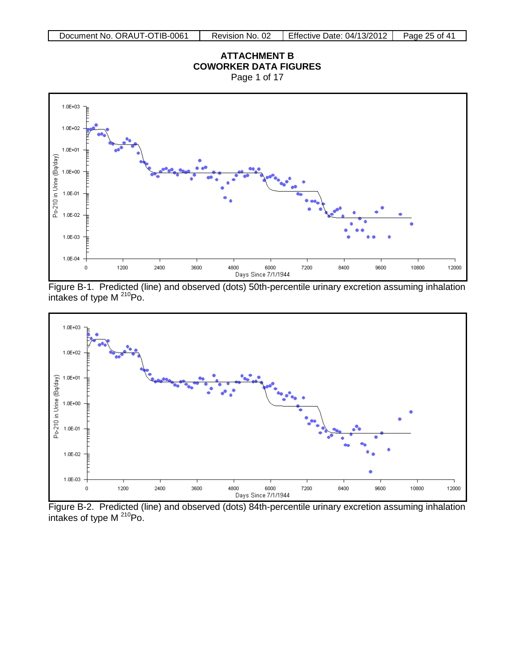<span id="page-24-0"></span>Page 1 of 17



Figure B-1. Predicted (line) and observed (dots) 50th-percentile urinary excretion assuming inhalation intakes of type  $M^{210}Po$ .



Figure B-2. Predicted (line) and observed (dots) 84th-percentile urinary excretion assuming inhalation intakes of type M <sup>210</sup>Po.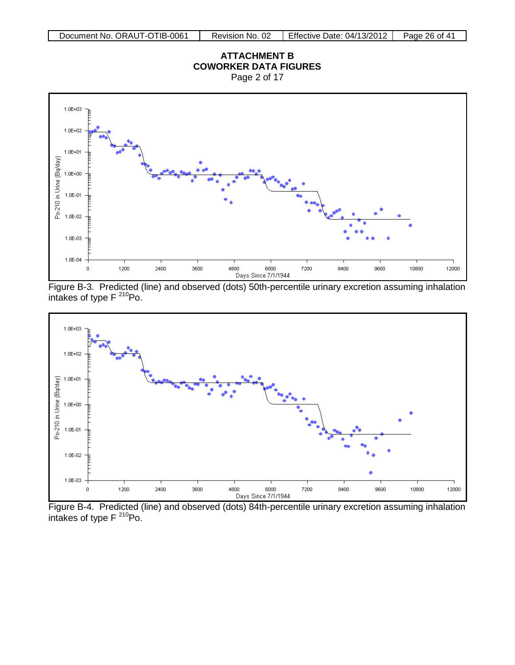Page 2 of 17



Figure B-3. Predicted (line) and observed (dots) 50th-percentile urinary excretion assuming inhalation intakes of type  $F^{210}Po$ .



Figure B-4. Predicted (line) and observed (dots) 84th-percentile urinary excretion assuming inhalation intakes of type  $F^{210}Po$ .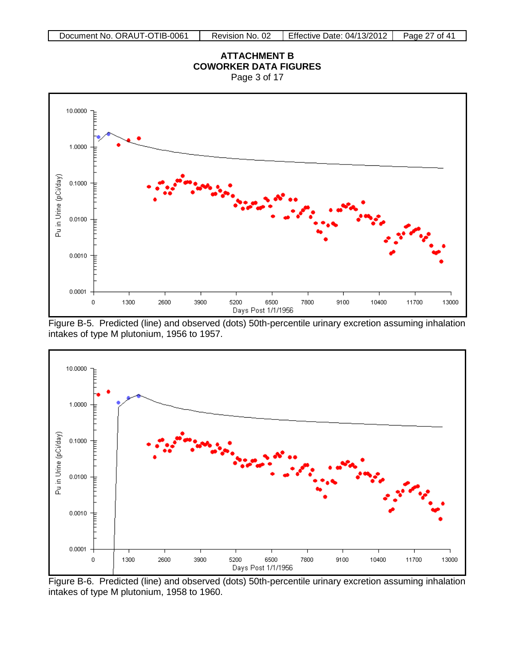Page 3 of 17







Figure B-6. Predicted (line) and observed (dots) 50th-percentile urinary excretion assuming inhalation intakes of type M plutonium, 1958 to 1960.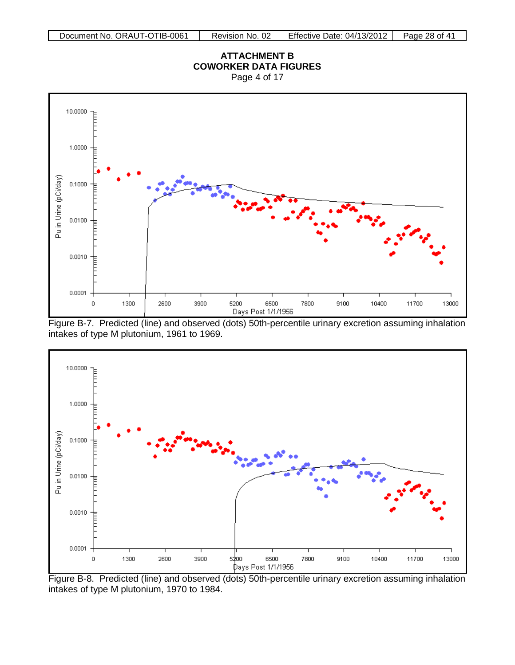Page 4 of 17







Figure B-8. Predicted (line) and observed (dots) 50th-percentile urinary excretion assuming inhalation intakes of type M plutonium, 1970 to 1984.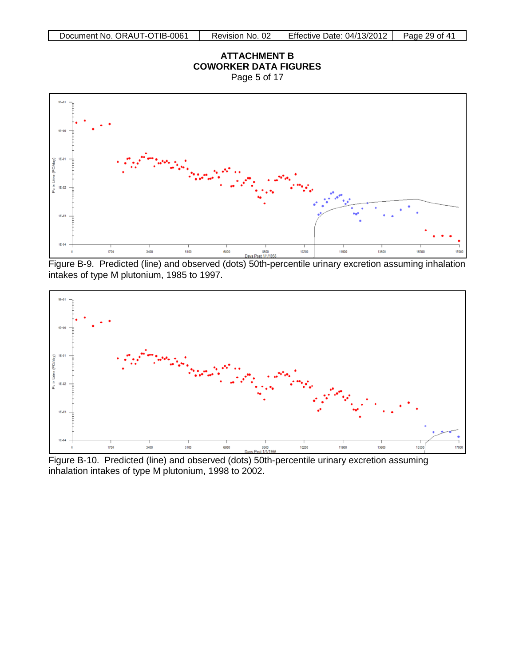Page 5 of 17



Figure B-9. Predicted (line) and observed (dots) 50th-percentile urinary excretion assuming inhalation intakes of type M plutonium, 1985 to 1997.



Figure B-10. Predicted (line) and observed (dots) 50th-percentile urinary excretion assuming inhalation intakes of type M plutonium, 1998 to 2002.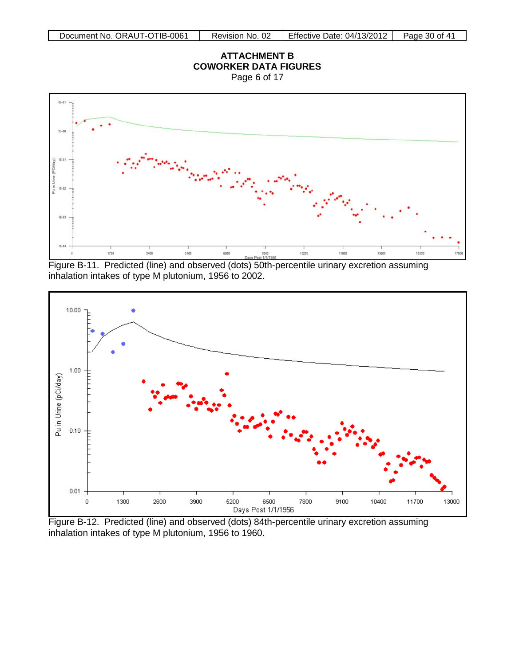Page 6 of 17



Figure B-11. Predicted (line) and observed (dots) 50th-percentile urinary excretion assuming inhalation intakes of type M plutonium, 1956 to 2002.



Figure B-12. Predicted (line) and observed (dots) 84th-percentile urinary excretion assuming inhalation intakes of type M plutonium, 1956 to 1960.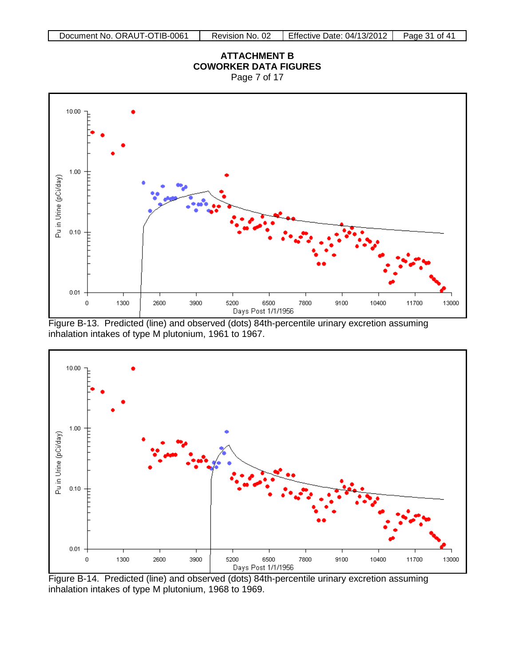Page 7 of 17



Figure B-13. Predicted (line) and observed (dots) 84th-percentile urinary excretion assuming inhalation intakes of type M plutonium, 1961 to 1967.



Figure B-14. Predicted (line) and observed (dots) 84th-percentile urinary excretion assuming inhalation intakes of type M plutonium, 1968 to 1969.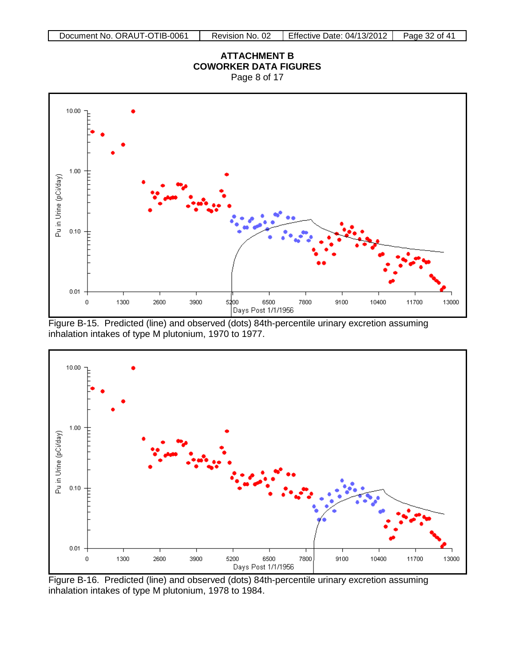Page 8 of 17



Figure B-15. Predicted (line) and observed (dots) 84th-percentile urinary excretion assuming inhalation intakes of type M plutonium, 1970 to 1977.



Figure B-16. Predicted (line) and observed (dots) 84th-percentile urinary excretion assuming inhalation intakes of type M plutonium, 1978 to 1984.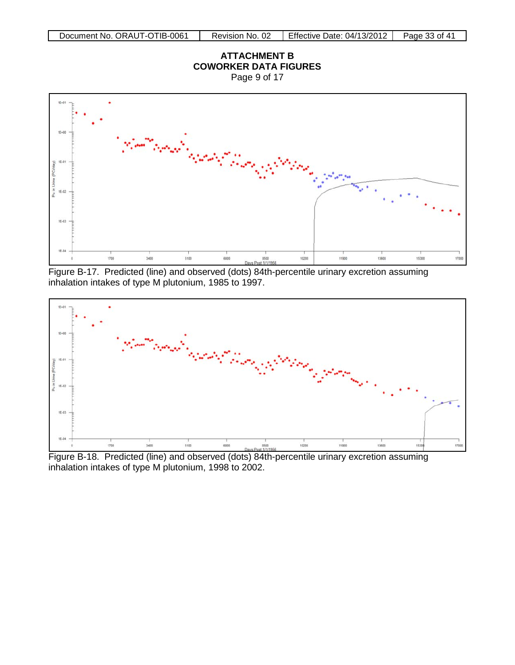Page 9 of 17



Figure B-17. Predicted (line) and observed (dots) 84th-percentile urinary excretion assuming inhalation intakes of type M plutonium, 1985 to 1997.



Figure B-18. Predicted (line) and observed (dots) 84th-percentile urinary excretion assuming inhalation intakes of type M plutonium, 1998 to 2002.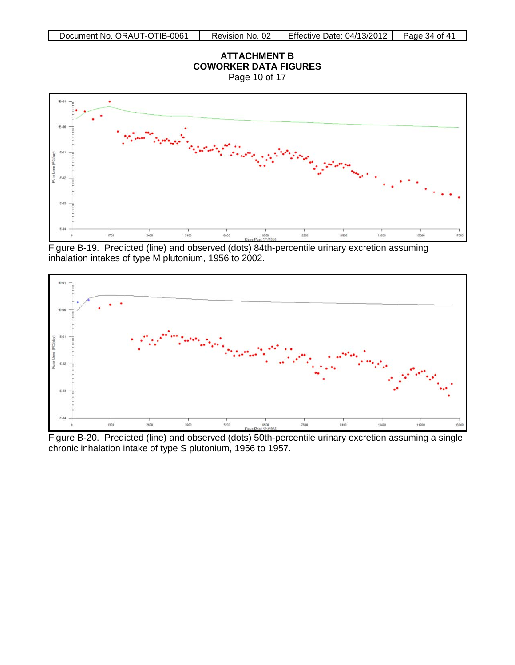Page 10 of 17



Figure B-19. Predicted (line) and observed (dots) 84th-percentile urinary excretion assuming inhalation intakes of type M plutonium, 1956 to 2002.



Figure B-20. Predicted (line) and observed (dots) 50th-percentile urinary excretion assuming a single chronic inhalation intake of type S plutonium, 1956 to 1957.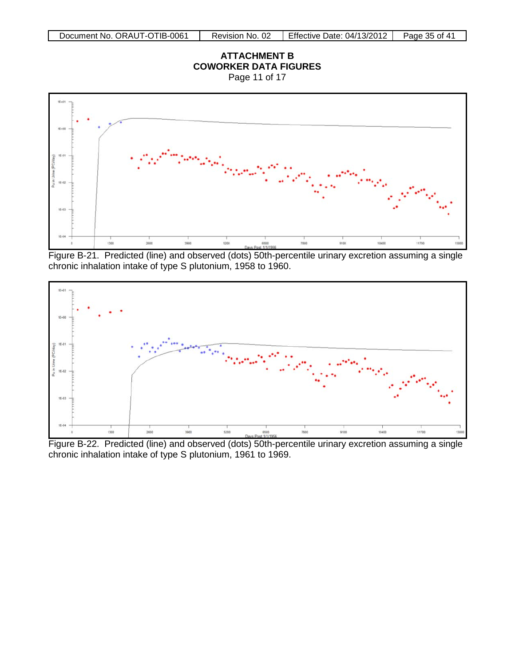Page 11 of 17



Figure B-21. Predicted (line) and observed (dots) 50th-percentile urinary excretion assuming a single chronic inhalation intake of type S plutonium, 1958 to 1960.



Figure B-22. Predicted (line) and observed (dots) 50th-percentile urinary excretion assuming a single chronic inhalation intake of type S plutonium, 1961 to 1969.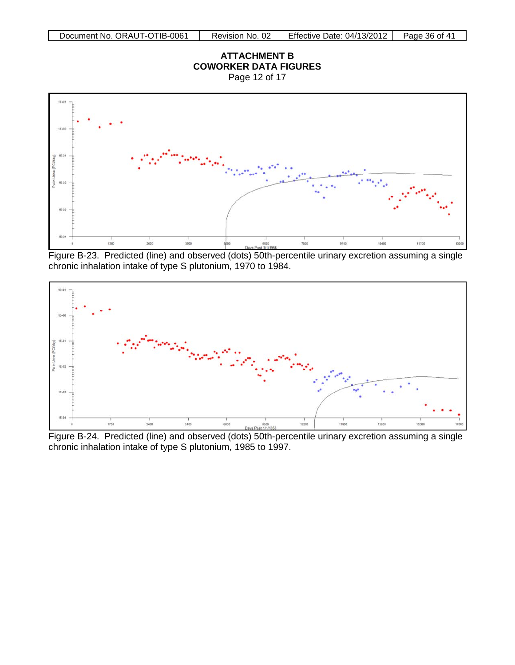Page 12 of 17



Figure B-23. Predicted (line) and observed (dots) 50th-percentile urinary excretion assuming a single chronic inhalation intake of type S plutonium, 1970 to 1984.



Figure B-24. Predicted (line) and observed (dots) 50th-percentile urinary excretion assuming a single chronic inhalation intake of type S plutonium, 1985 to 1997.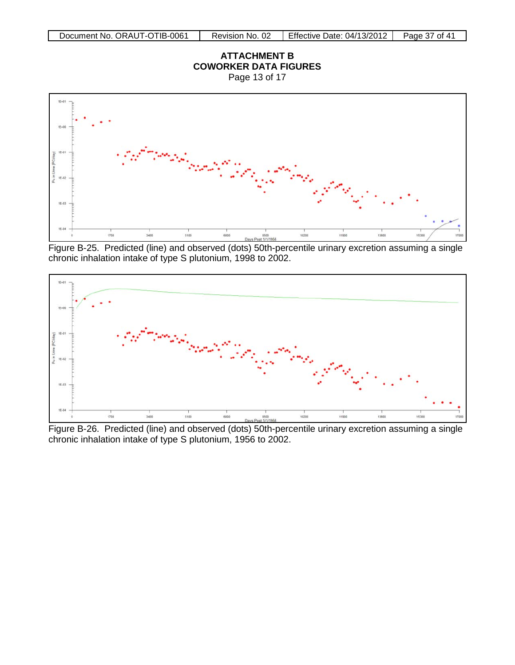Page 13 of 17



Figure B-25. Predicted (line) and observed (dots) 50th-percentile urinary excretion assuming a single chronic inhalation intake of type S plutonium, 1998 to 2002.



Figure B-26. Predicted (line) and observed (dots) 50th-percentile urinary excretion assuming a single chronic inhalation intake of type S plutonium, 1956 to 2002.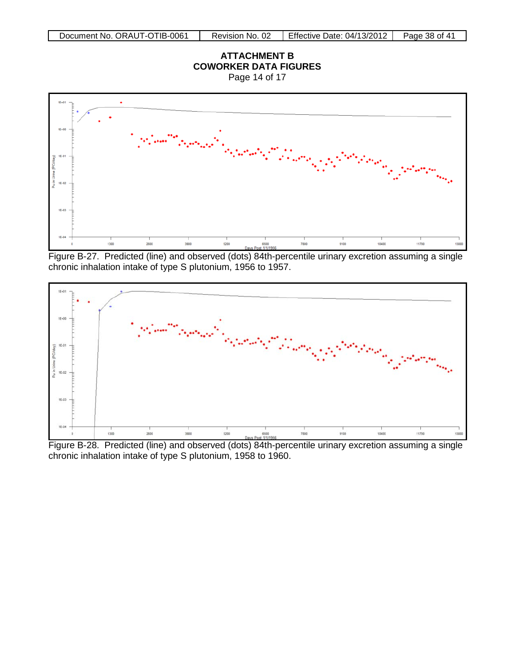Page 14 of 17



Figure B-27. Predicted (line) and observed (dots) 84th-percentile urinary excretion assuming a single chronic inhalation intake of type S plutonium, 1956 to 1957.



Figure B-28. Predicted (line) and observed (dots) 84th-percentile urinary excretion assuming a single chronic inhalation intake of type S plutonium, 1958 to 1960.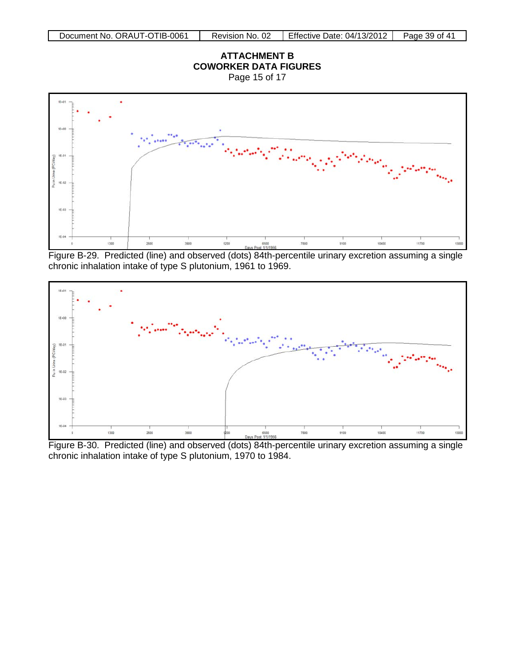Page 15 of 17



Figure B-29. Predicted (line) and observed (dots) 84th-percentile urinary excretion assuming a single chronic inhalation intake of type S plutonium, 1961 to 1969.



Figure B-30. Predicted (line) and observed (dots) 84th-percentile urinary excretion assuming a single chronic inhalation intake of type S plutonium, 1970 to 1984.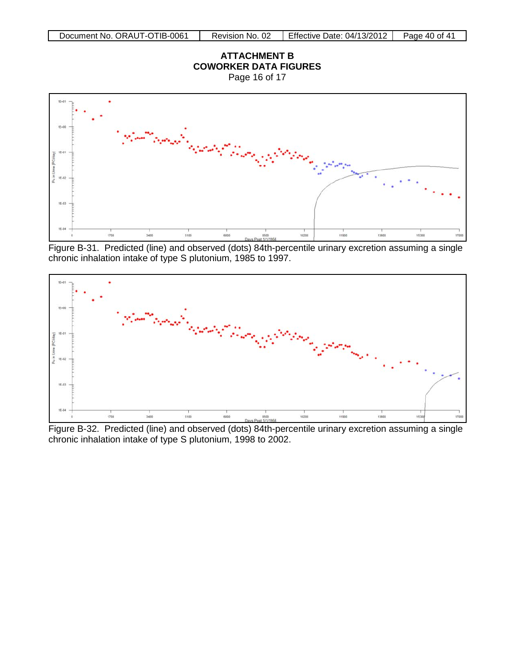Page 16 of 17



Figure B-31. Predicted (line) and observed (dots) 84th-percentile urinary excretion assuming a single chronic inhalation intake of type S plutonium, 1985 to 1997.



Figure B-32. Predicted (line) and observed (dots) 84th-percentile urinary excretion assuming a single chronic inhalation intake of type S plutonium, 1998 to 2002.